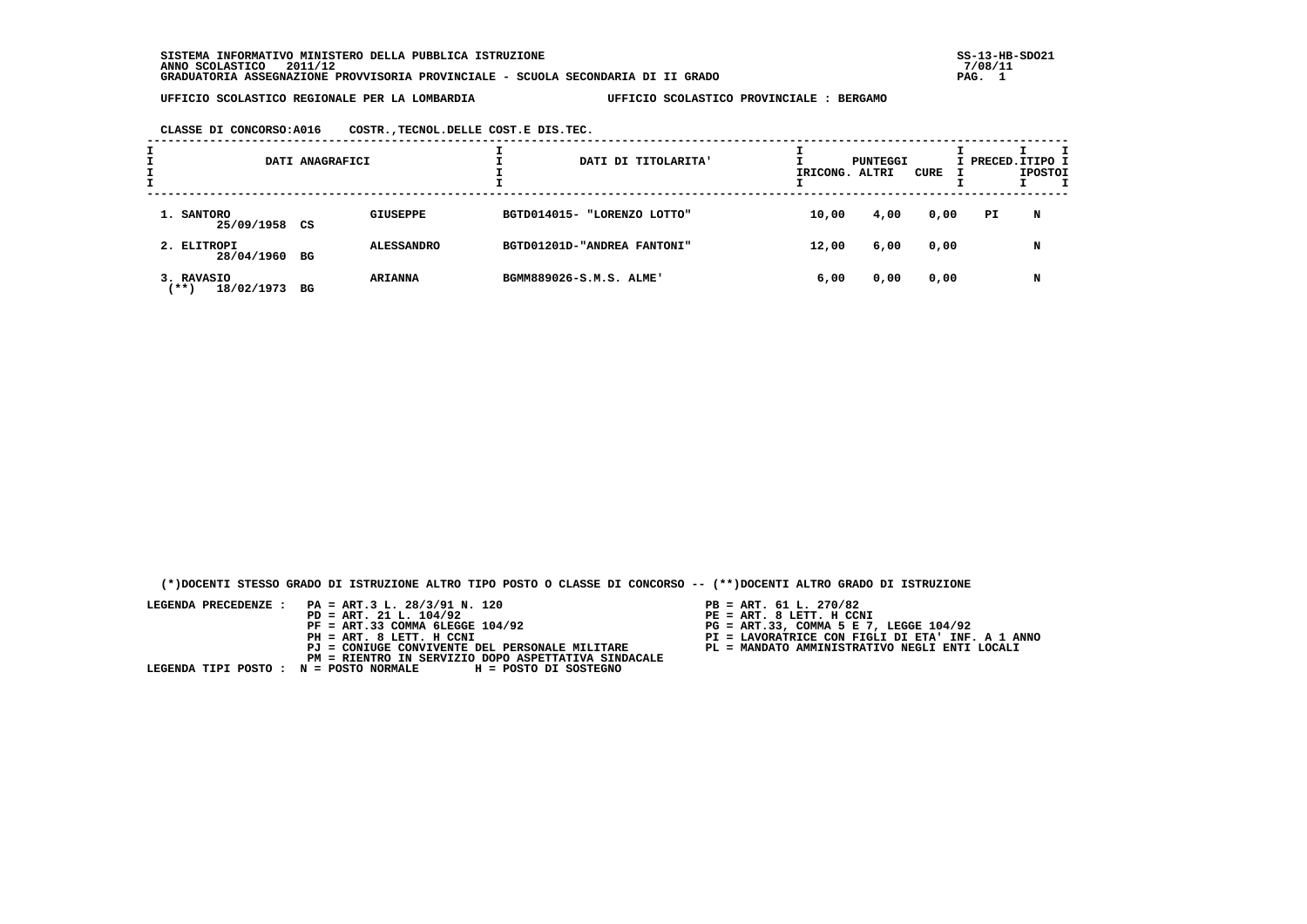**SISTEMA INFORMATIVO MINISTERO DELLA PUBBLICA ISTRUZIONE SS-13-HB-SDO21 ANNO SCOLASTICO 2011/12 7/08/11 GRADUATORIA ASSEGNAZIONE PROVVISORIA PROVINCIALE - SCUOLA SECONDARIA DI II GRADO PAG. 1**

 **UFFICIO SCOLASTICO REGIONALE PER LA LOMBARDIA UFFICIO SCOLASTICO PROVINCIALE : BERGAMO**

 **CLASSE DI CONCORSO:A016 COSTR.,TECNOL.DELLE COST.E DIS.TEC.**

| I<br>÷ | DATI ANAGRAFICI                     |    |                   | DATI DI TITOLARITA'         | IRICONG. ALTRI | PUNTEGGI | CURE | I PRECED.ITIPO I | <b>IPOSTOI</b> |  |
|--------|-------------------------------------|----|-------------------|-----------------------------|----------------|----------|------|------------------|----------------|--|
|        | 1. SANTORO<br>25/09/1958 CS         |    | <b>GIUSEPPE</b>   | BGTD014015- "LORENZO LOTTO" | 10,00          | 4,00     | 0,00 | PI               | N              |  |
|        | 2. ELITROPI<br>28/04/1960           | BG | <b>ALESSANDRO</b> | BGTD01201D-"ANDREA FANTONI" | 12,00          | 6,00     | 0,00 |                  | N              |  |
|        | 3. RAVASIO<br>$+ + +$<br>18/02/1973 | вG | <b>ARIANNA</b>    | BGMM889026-S.M.S. ALME'     | 6,00           | 0,00     | 0,00 |                  | N              |  |

 **(\*)DOCENTI STESSO GRADO DI ISTRUZIONE ALTRO TIPO POSTO O CLASSE DI CONCORSO -- (\*\*)DOCENTI ALTRO GRADO DI ISTRUZIONE**

| LEGENDA PRECEDENZE : PA = ART.3 L. 28/3/91 N. 120<br>$PD = ART. 21 L. 104/92$ | $PB = ART. 61 L. 270/82$<br>$PE = ART. 8 LETT. H CCNI$ |
|-------------------------------------------------------------------------------|--------------------------------------------------------|
|                                                                               |                                                        |
| $PF = ART.33 COMMA 6LEGGE 104/92$                                             | PG = ART.33, COMMA 5 E 7, LEGGE 104/92                 |
| PH = ART. 8 LETT. H CCNI                                                      | PI = LAVORATRICE CON FIGLI DI ETA' INF. A 1 ANNO       |
| PJ = CONIUGE CONVIVENTE DEL PERSONALE MILITARE                                | PL = MANDATO AMMINISTRATIVO NEGLI ENTI LOCALI          |
| PM = RIENTRO IN SERVIZIO DOPO ASPETTATIVA SINDACALE                           |                                                        |
| LEGENDA TIPI POSTO : N = POSTO NORMALE H = POSTO DI SOSTEGNO                  |                                                        |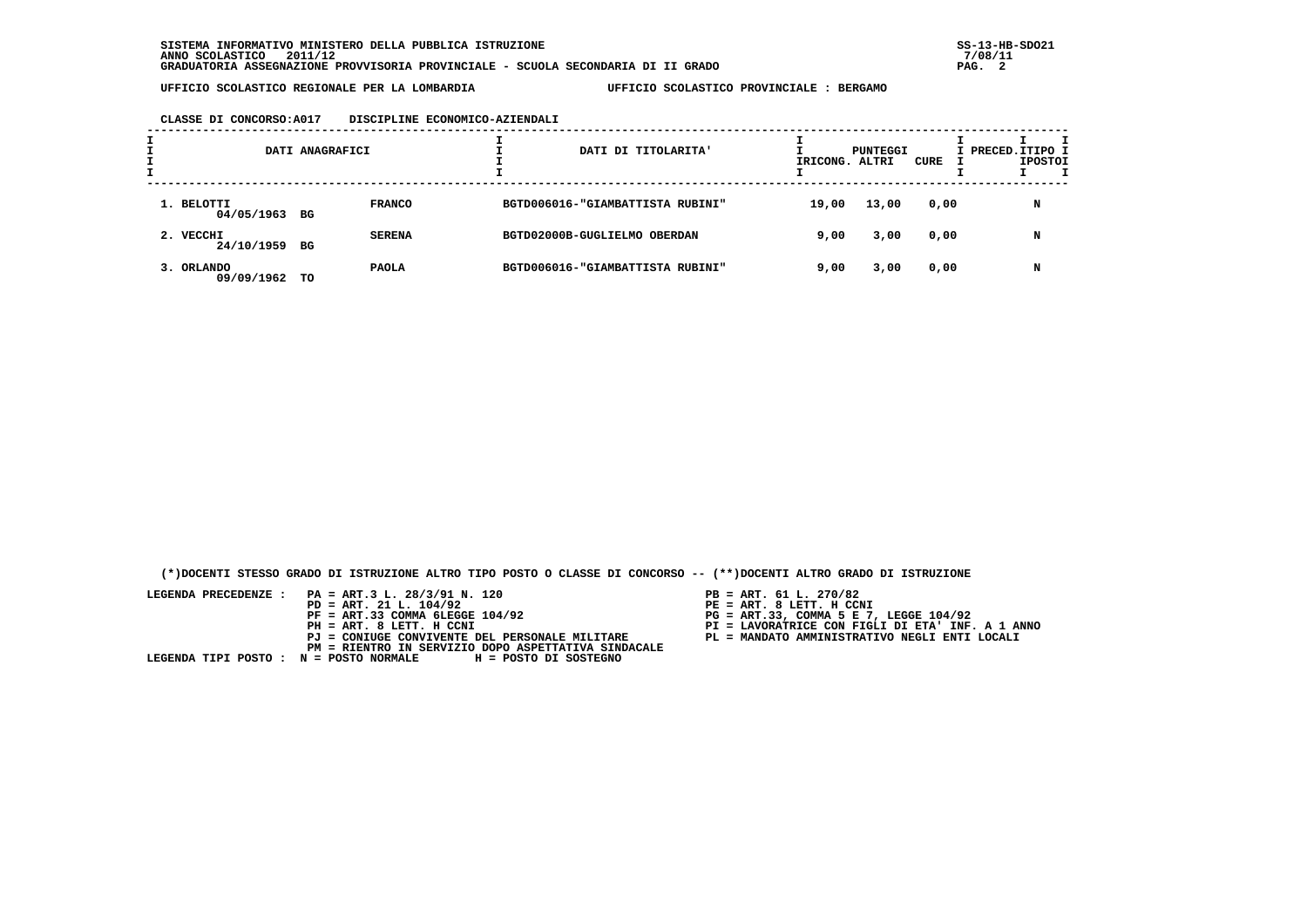## **CLASSE DI CONCORSO:A017 DISCIPLINE ECONOMICO-AZIENDALI**

| DATI ANAGRAFICI             |    |               | DATI DI TITOLARITA'              | IRICONG. ALTRI | PUNTEGGI | CURE | I PRECED.ITIPO I | <b>IPOSTOI</b> |  |
|-----------------------------|----|---------------|----------------------------------|----------------|----------|------|------------------|----------------|--|
| 1. BELOTTI<br>04/05/1963 BG |    | <b>FRANCO</b> | BGTD006016-"GIAMBATTISTA RUBINI" | 19,00          | 13,00    | 0,00 |                  | N              |  |
| 2. VECCHI<br>24/10/1959     | BG | <b>SERENA</b> | BGTD02000B-GUGLIELMO OBERDAN     | 9,00           | 3,00     | 0,00 |                  | N              |  |
| 3. ORLANDO<br>09/09/1962    | TO | <b>PAOLA</b>  | BGTD006016-"GIAMBATTISTA RUBINI" | 9,00           | 3,00     | 0,00 |                  | N              |  |

 **(\*)DOCENTI STESSO GRADO DI ISTRUZIONE ALTRO TIPO POSTO O CLASSE DI CONCORSO -- (\*\*)DOCENTI ALTRO GRADO DI ISTRUZIONE**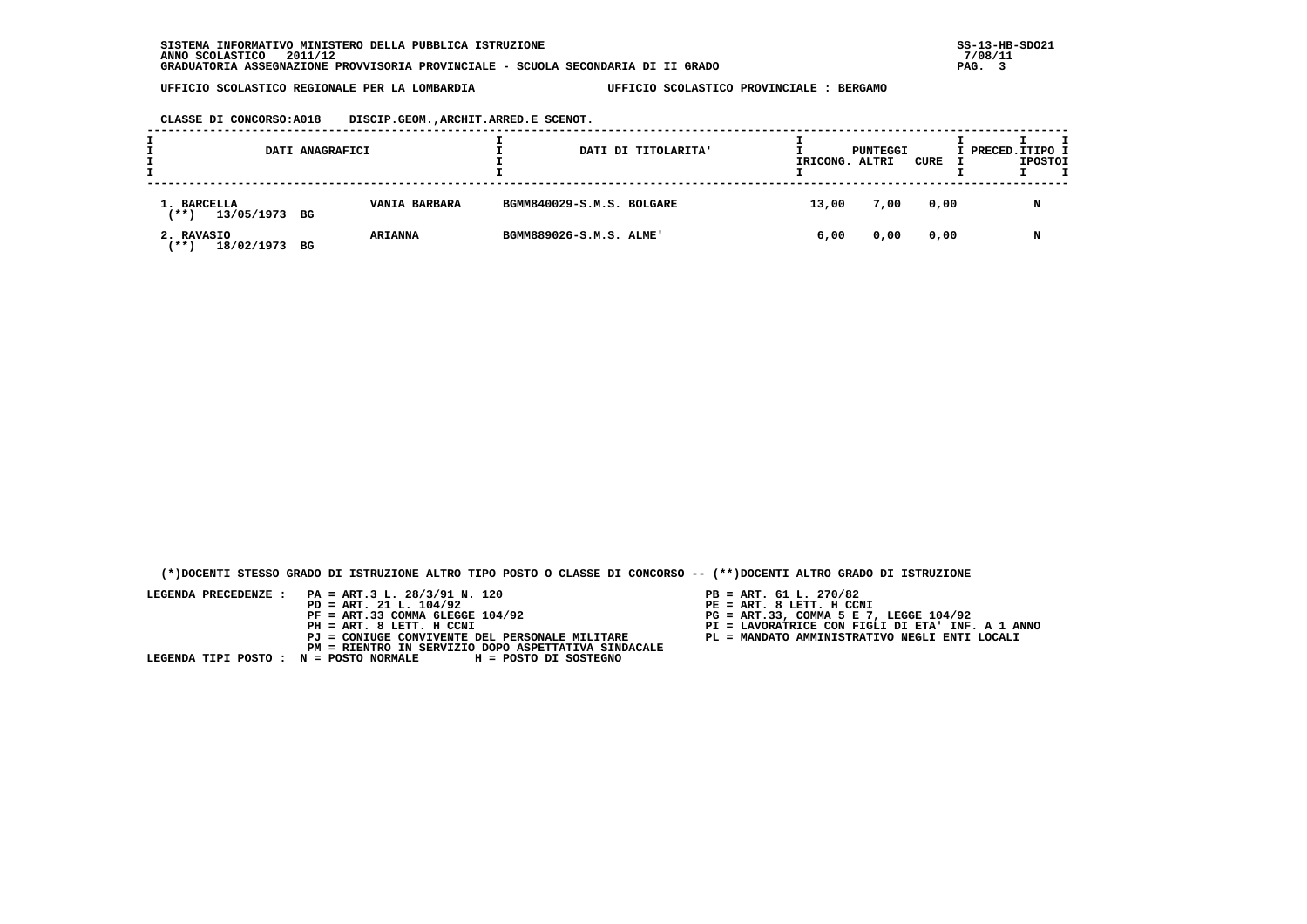**CLASSE DI CONCORSO:A018 DISCIP.GEOM.,ARCHIT.ARRED.E SCENOT.**

| DATI ANAGRAFICI                         |                      | DATI DI TITOLARITA'       | IRICONG. | PUNTEGGI<br>ALTRI | CURE | I PRECED. ITIPO I<br><b>IPOSTOI</b> |
|-----------------------------------------|----------------------|---------------------------|----------|-------------------|------|-------------------------------------|
| 1. BARCELLA<br>$***$ )<br>13/05/1973 BG | <b>VANIA BARBARA</b> | BGMM840029-S.M.S. BOLGARE | 13,00    | 7,00              | 0,00 | N                                   |
| 2. RAVASIO<br>18/02/1973 BG<br>'** 1    | <b>ARIANNA</b>       | BGMM889026-S.M.S. ALME'   | 6,00     | 0,00              | 0,00 | N                                   |

 **(\*)DOCENTI STESSO GRADO DI ISTRUZIONE ALTRO TIPO POSTO O CLASSE DI CONCORSO -- (\*\*)DOCENTI ALTRO GRADO DI ISTRUZIONE**

- 
- 
- 
- 
-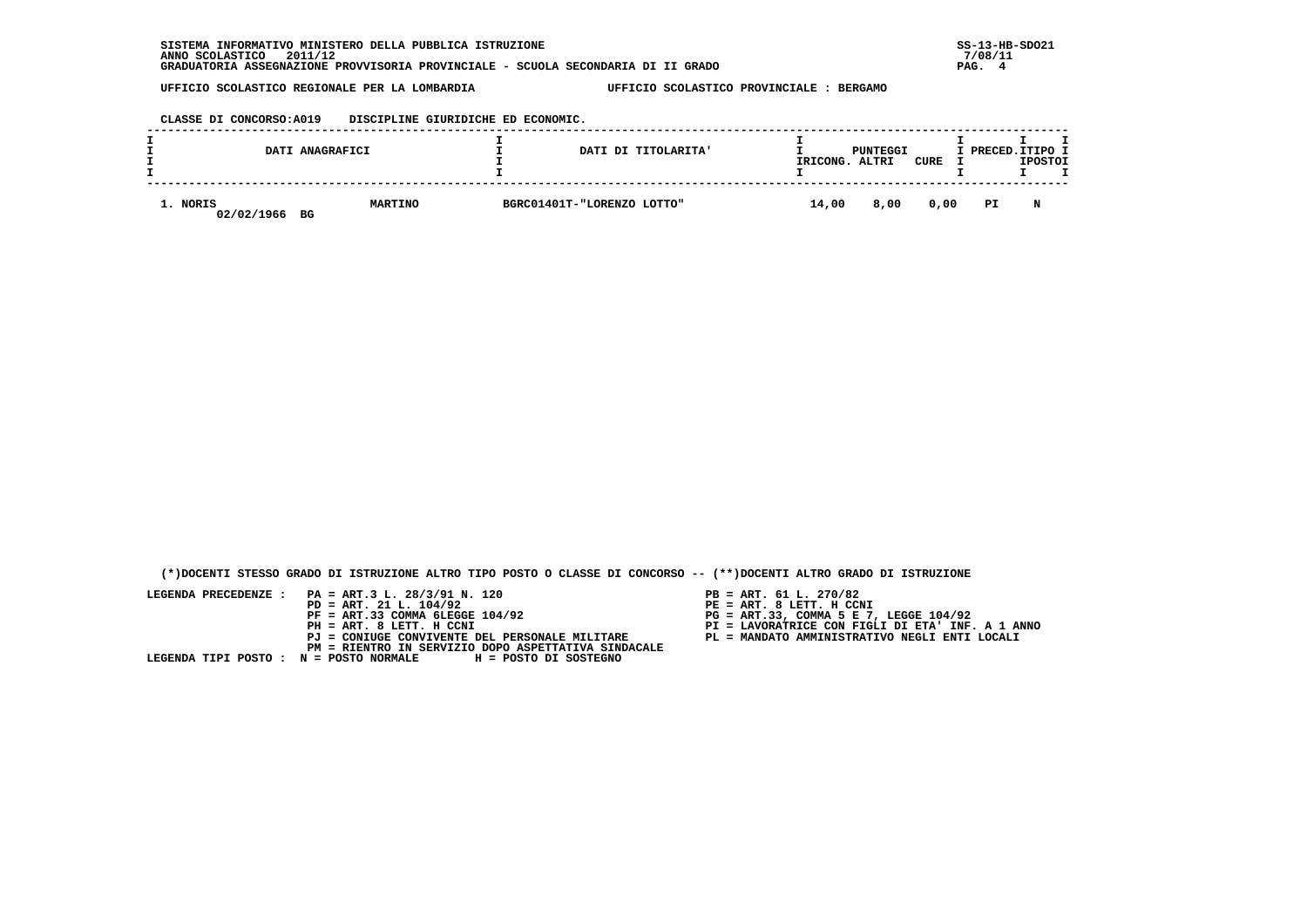**CLASSE DI CONCORSO:A019 DISCIPLINE GIURIDICHE ED ECONOMIC.**

|                        | DATI ANAGRAFICI | DATI DI TITOLARITA'        | IRICONG. | PUNTEGGI<br>ALTRI | CURE | I PRECED. ITIPO I | <b>IPOSTOI</b> |  |
|------------------------|-----------------|----------------------------|----------|-------------------|------|-------------------|----------------|--|
| 1. NORIS<br>02/02/1966 | MARTINO<br>BG   | BGRC01401T-"LORENZO LOTTO" | 14,00    | 8,00              | 0,00 | PI                | N              |  |

 **(\*)DOCENTI STESSO GRADO DI ISTRUZIONE ALTRO TIPO POSTO O CLASSE DI CONCORSO -- (\*\*)DOCENTI ALTRO GRADO DI ISTRUZIONE**

- PB = ART. 61 L. 270/82<br>PE = ART. 8 LETT. H CCNI
- 
- 
- 
-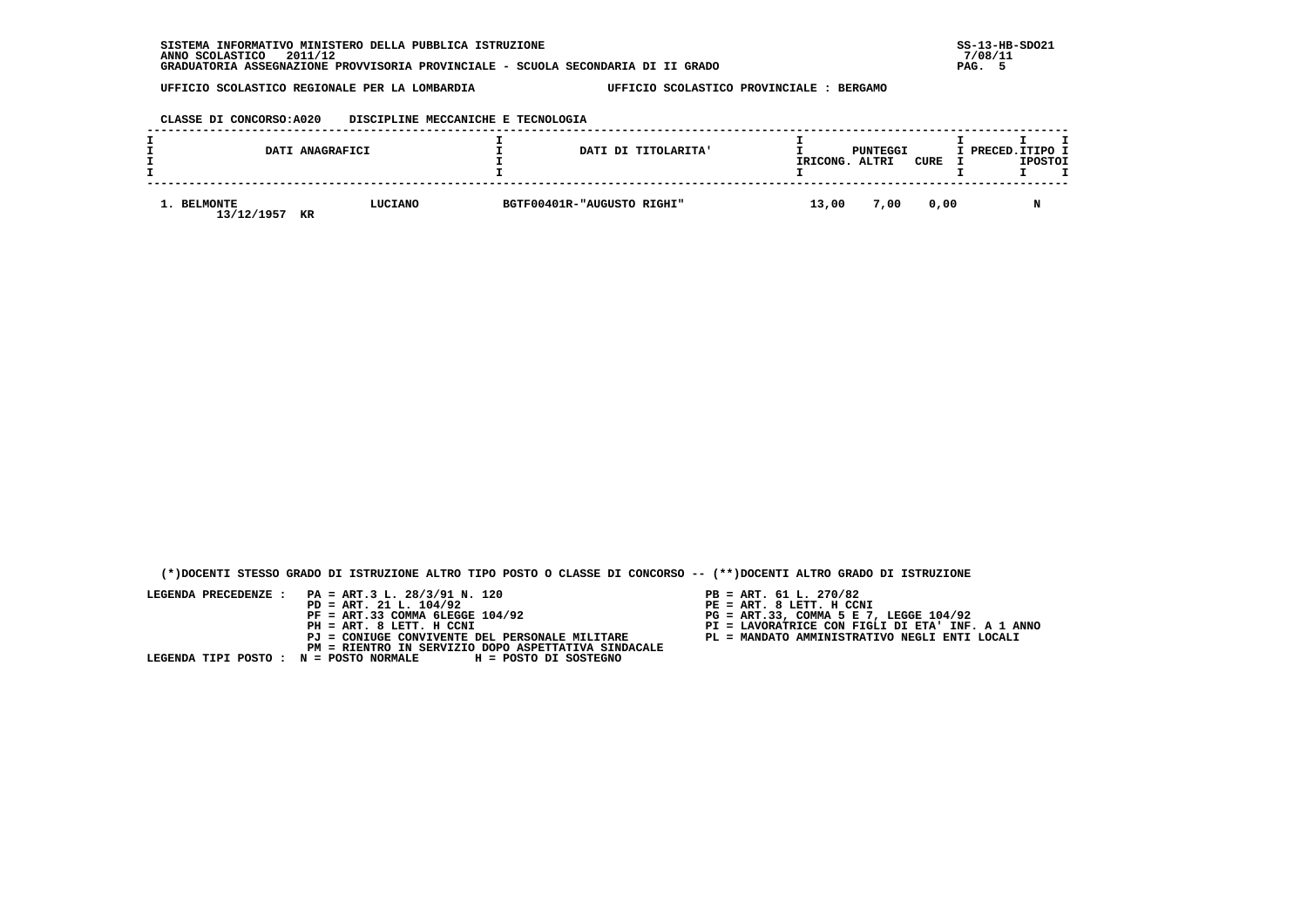| CLASSE DI CONCORSO: A020 |  | DISCIPLINE MECCANICHE E TECNOLOGIA |
|--------------------------|--|------------------------------------|
|                          |  |                                    |

|                           | DATI ANAGRAFICI | DATI DI TITOLARITA'        | IRICONG. | PUNTEGGI<br>ALTRI | CURE | I PRECED.ITIPO I | <b>IPOSTOI</b> |  |
|---------------------------|-----------------|----------------------------|----------|-------------------|------|------------------|----------------|--|
| 1. BELMONTE<br>13/12/1957 | LUCIANO<br>KR   | BGTF00401R-"AUGUSTO RIGHI" | 13,00    | 7,00              | 0,00 |                  | N              |  |

 **(\*)DOCENTI STESSO GRADO DI ISTRUZIONE ALTRO TIPO POSTO O CLASSE DI CONCORSO -- (\*\*)DOCENTI ALTRO GRADO DI ISTRUZIONE**

- 
- PB = ART. 61 L. 270/82<br>PE = ART. 8 LETT. H CCNI
- 
- 
-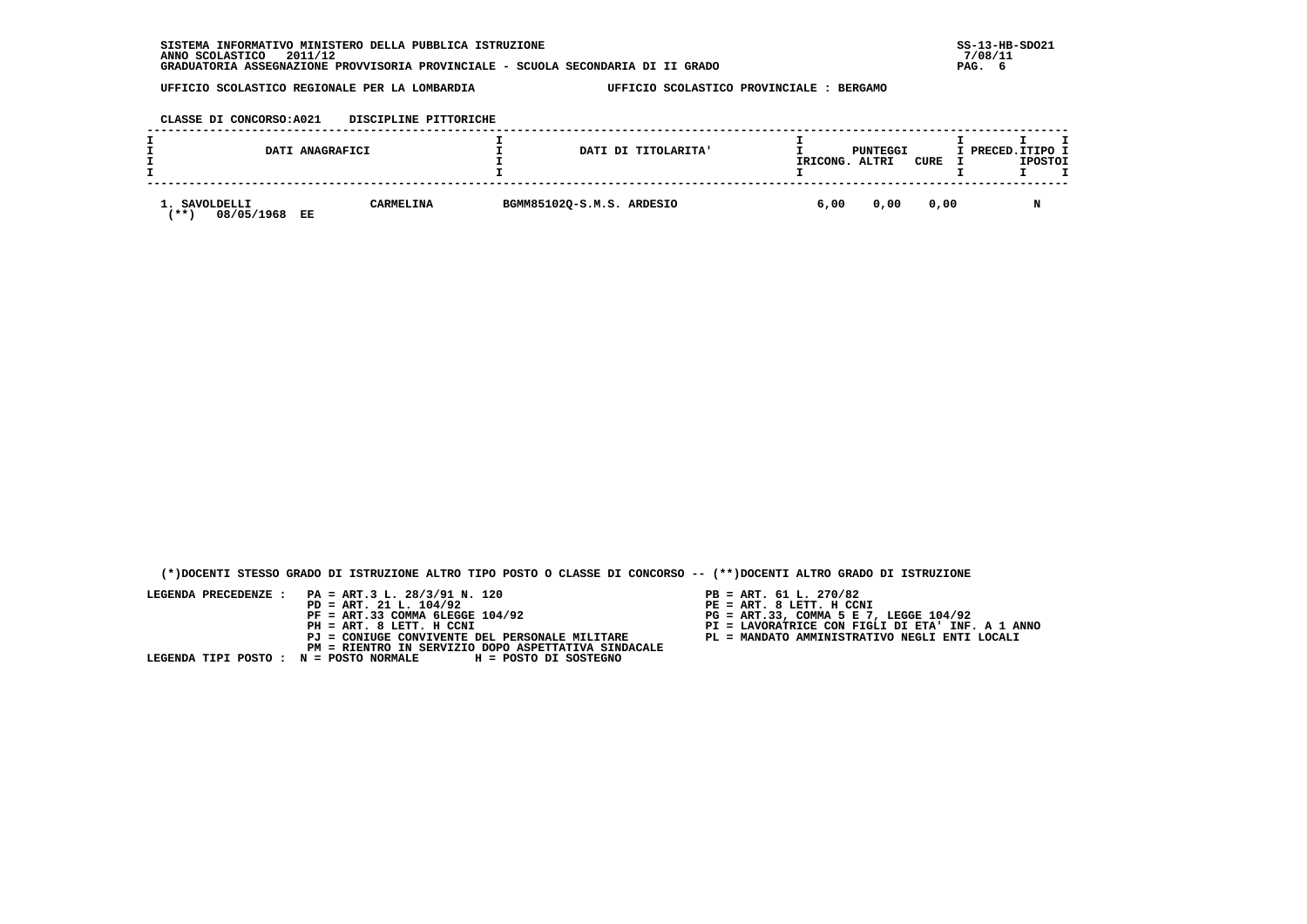**CLASSE DI CONCORSO:A021 DISCIPLINE PITTORICHE**

|                                                | DATI ANAGRAFICI  | DATI DI TITOLARITA'       | IRICONG. | PUNTEGGI<br>ALTRI | <b>CURE</b> | I PRECED.ITIPO I | <b>IPOSTOI</b> |  |
|------------------------------------------------|------------------|---------------------------|----------|-------------------|-------------|------------------|----------------|--|
| 1. SAVOLDELLI<br>08/05/1968<br><b>**</b><br>EE | <b>CARMELINA</b> | BGMM85102Q-S.M.S. ARDESIO | 6,00     | 0,00              | 0,00        |                  |                |  |

 **(\*)DOCENTI STESSO GRADO DI ISTRUZIONE ALTRO TIPO POSTO O CLASSE DI CONCORSO -- (\*\*)DOCENTI ALTRO GRADO DI ISTRUZIONE**

- 
- PB = ART. 61 L. 270/82<br>PE = ART. 8 LETT. H CCNI
- 
- 
-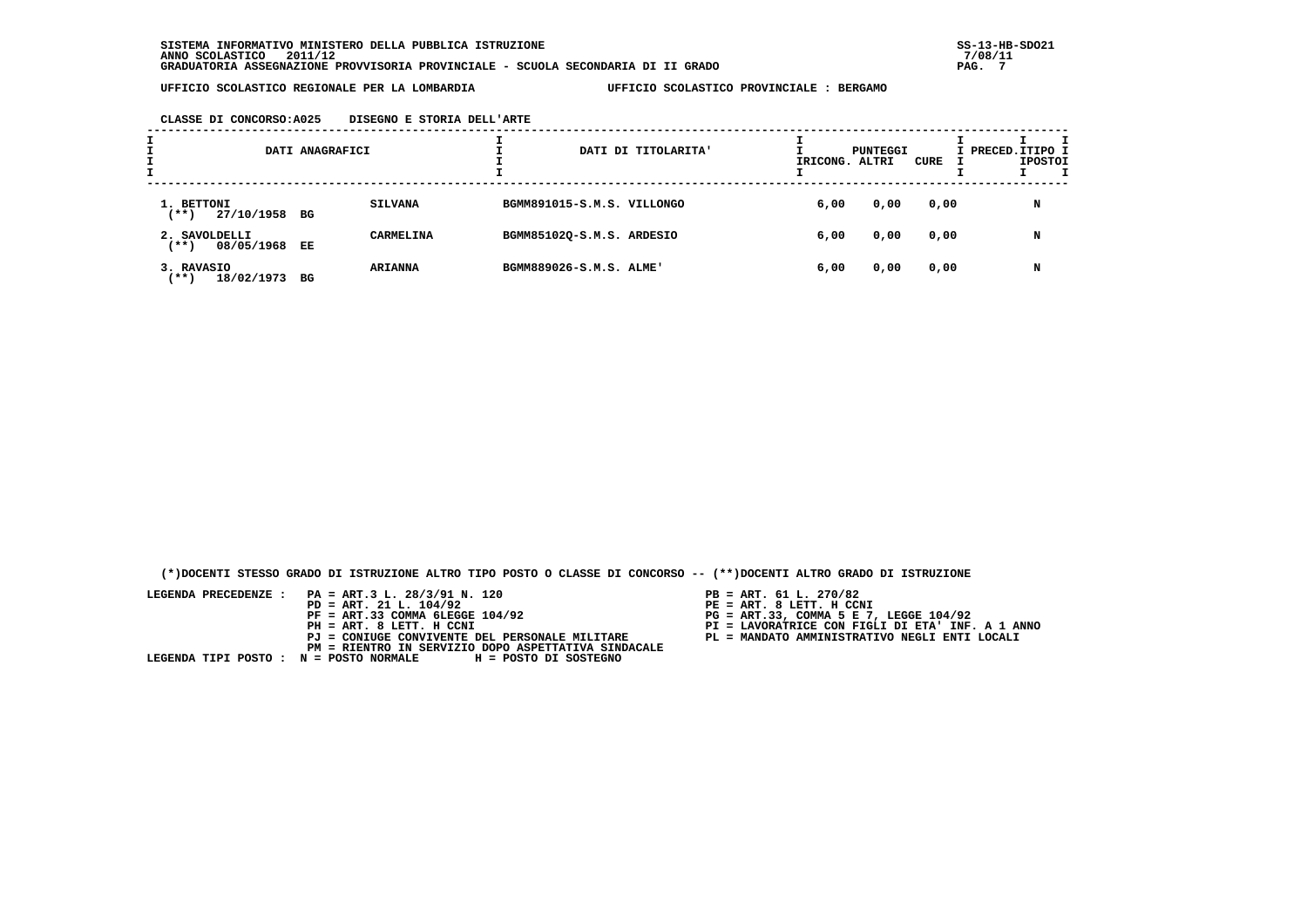| ÷. | DATI ANAGRAFICI                     |     |                  |                            | DATI DI TITOLARITA' | IRICONG. ALTRI | PUNTEGGI | CURE | I PRECED.ITIPO I | <b>IPOSTOI</b> |  |
|----|-------------------------------------|-----|------------------|----------------------------|---------------------|----------------|----------|------|------------------|----------------|--|
|    | 1. BETTONI<br>27/10/1958 BG<br>(**) |     | <b>SILVANA</b>   | BGMM891015-S.M.S. VILLONGO |                     | 6,00           | 0,00     | 0,00 |                  | N              |  |
|    | 2. SAVOLDELLI<br>(**)<br>08/05/1968 | EE. | <b>CARMELINA</b> | BGMM85102Q-S.M.S. ARDESIO  |                     | 6,00           | 0,00     | 0,00 |                  | N              |  |
|    | 3. RAVASIO<br>18/02/1973<br>$***$ ) | BG  | <b>ARIANNA</b>   | BGMM889026-S.M.S. ALME'    |                     | 6,00           | 0,00     | 0,00 |                  | N              |  |

 **(\*)DOCENTI STESSO GRADO DI ISTRUZIONE ALTRO TIPO POSTO O CLASSE DI CONCORSO -- (\*\*)DOCENTI ALTRO GRADO DI ISTRUZIONE**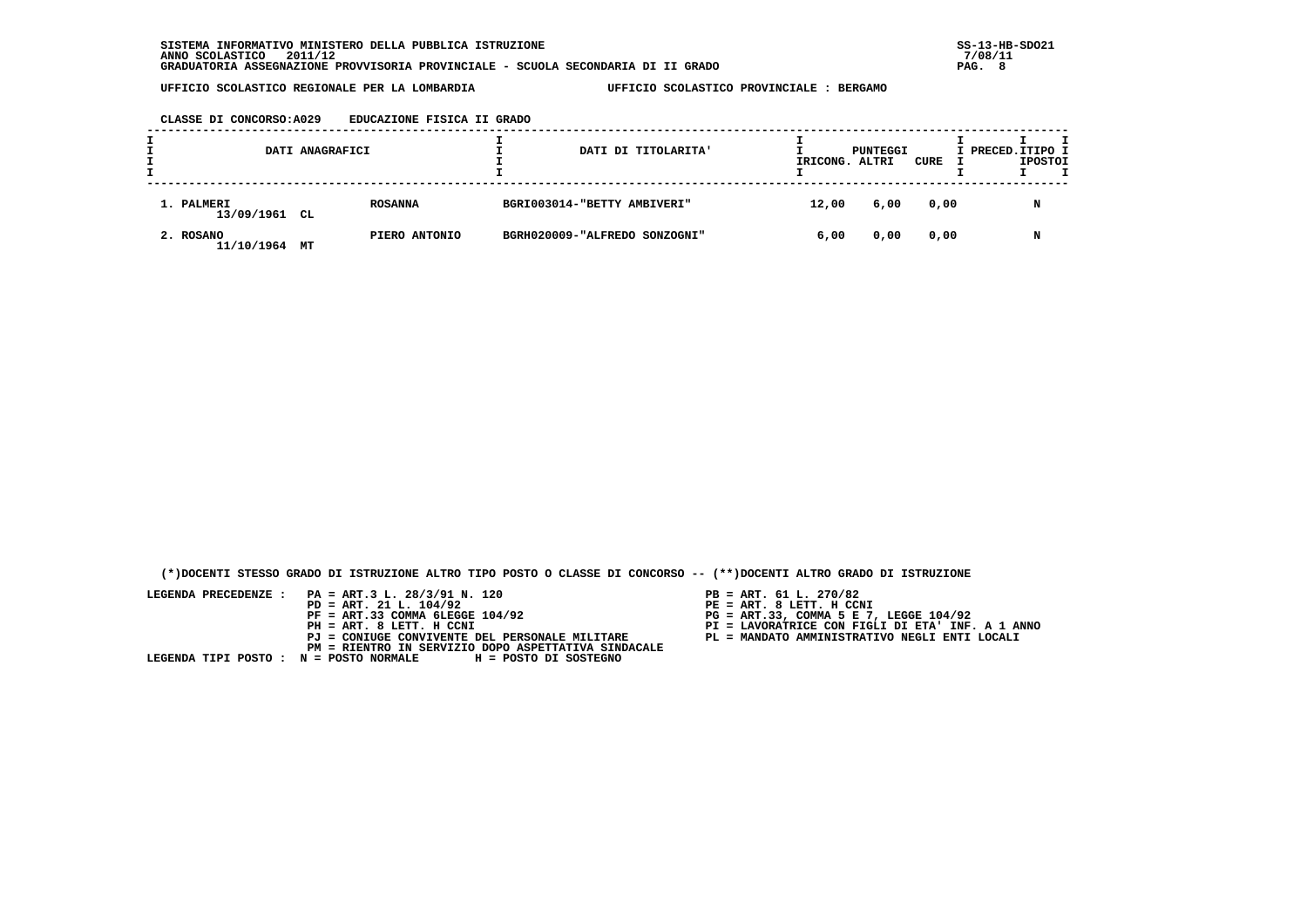**CLASSE DI CONCORSO:A029 EDUCAZIONE FISICA II GRADO**

| DATI ANAGRAFICI             |    |                | DATI DI TITOLARITA'           | IRICONG. | PUNTEGGI<br>ALTRI | CURE | I PRECED. ITIPO I | <b>IPOSTOI</b> |   |  |
|-----------------------------|----|----------------|-------------------------------|----------|-------------------|------|-------------------|----------------|---|--|
| 1. PALMERI<br>13/09/1961 CL |    | <b>ROSANNA</b> | BGRI003014-"BETTY AMBIVERI"   |          | 12,00             | 6,00 | 0,00              |                | N |  |
| 2. ROSANO<br>11/10/1964     | MТ | PIERO ANTONIO  | BGRH020009-"ALFREDO SONZOGNI" |          | 6,00              | 0,00 | 0,00              |                | N |  |

 **(\*)DOCENTI STESSO GRADO DI ISTRUZIONE ALTRO TIPO POSTO O CLASSE DI CONCORSO -- (\*\*)DOCENTI ALTRO GRADO DI ISTRUZIONE**

- 
- 
- 
- 
-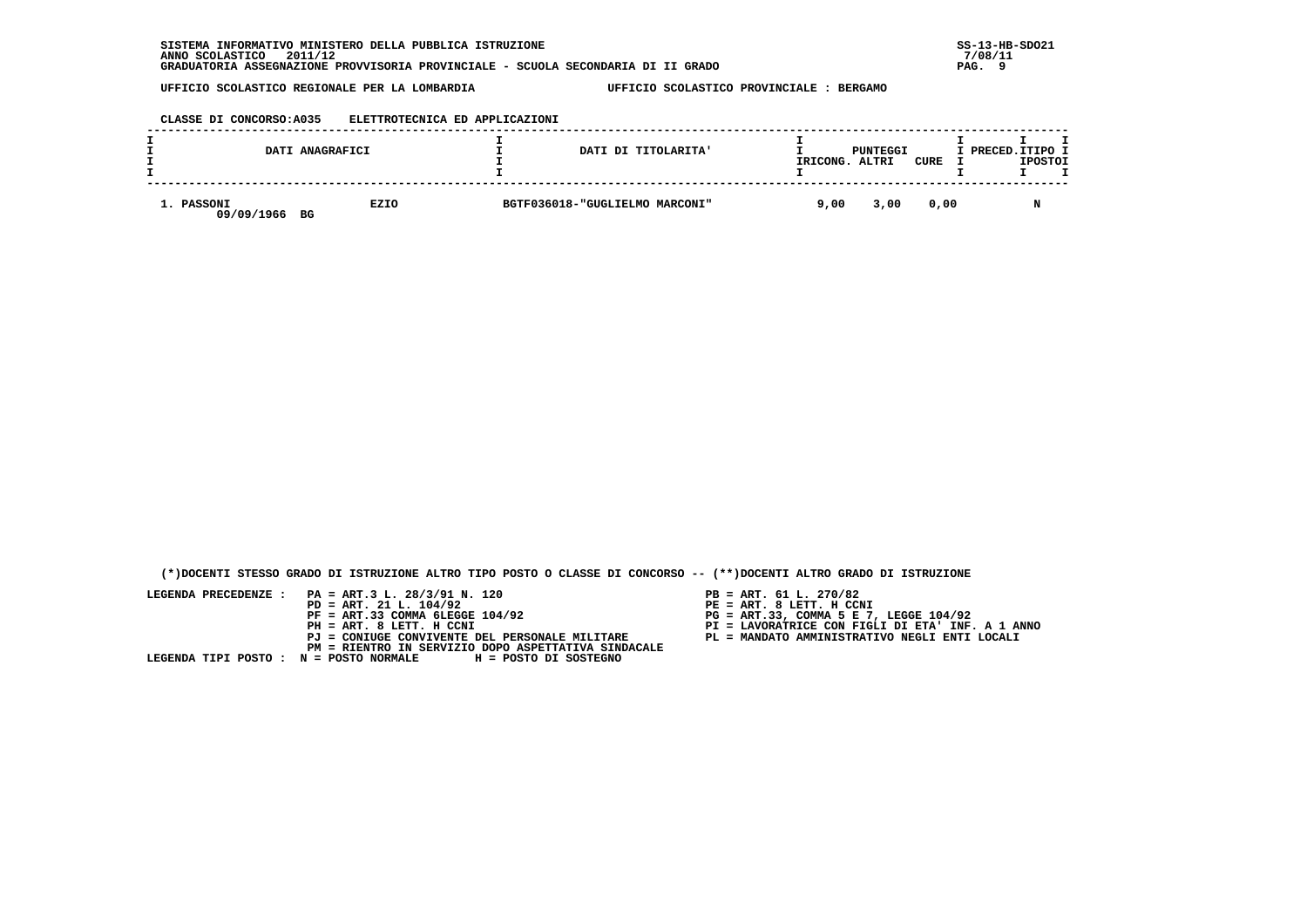## **CLASSE DI CONCORSO:A035 ELETTROTECNICA ED APPLICAZIONI**

|                          | DATI ANAGRAFICI | DATI DI TITOLARITA'            | IRICONG. | PUNTEGGI<br>ALTRI | CURE | I PRECED. ITIPO I | <b>IPOSTOI</b> |  |
|--------------------------|-----------------|--------------------------------|----------|-------------------|------|-------------------|----------------|--|
| 1. PASSONI<br>09/09/1966 | EZIO<br>BG      | BGTF036018-"GUGLIELMO MARCONI" | 9,00     | 3,00              | 0.00 |                   |                |  |

 **(\*)DOCENTI STESSO GRADO DI ISTRUZIONE ALTRO TIPO POSTO O CLASSE DI CONCORSO -- (\*\*)DOCENTI ALTRO GRADO DI ISTRUZIONE**

- PB = ART. 61 L. 270/82<br>PE = ART. 8 LETT. H CCNI
- 
- 
- 
-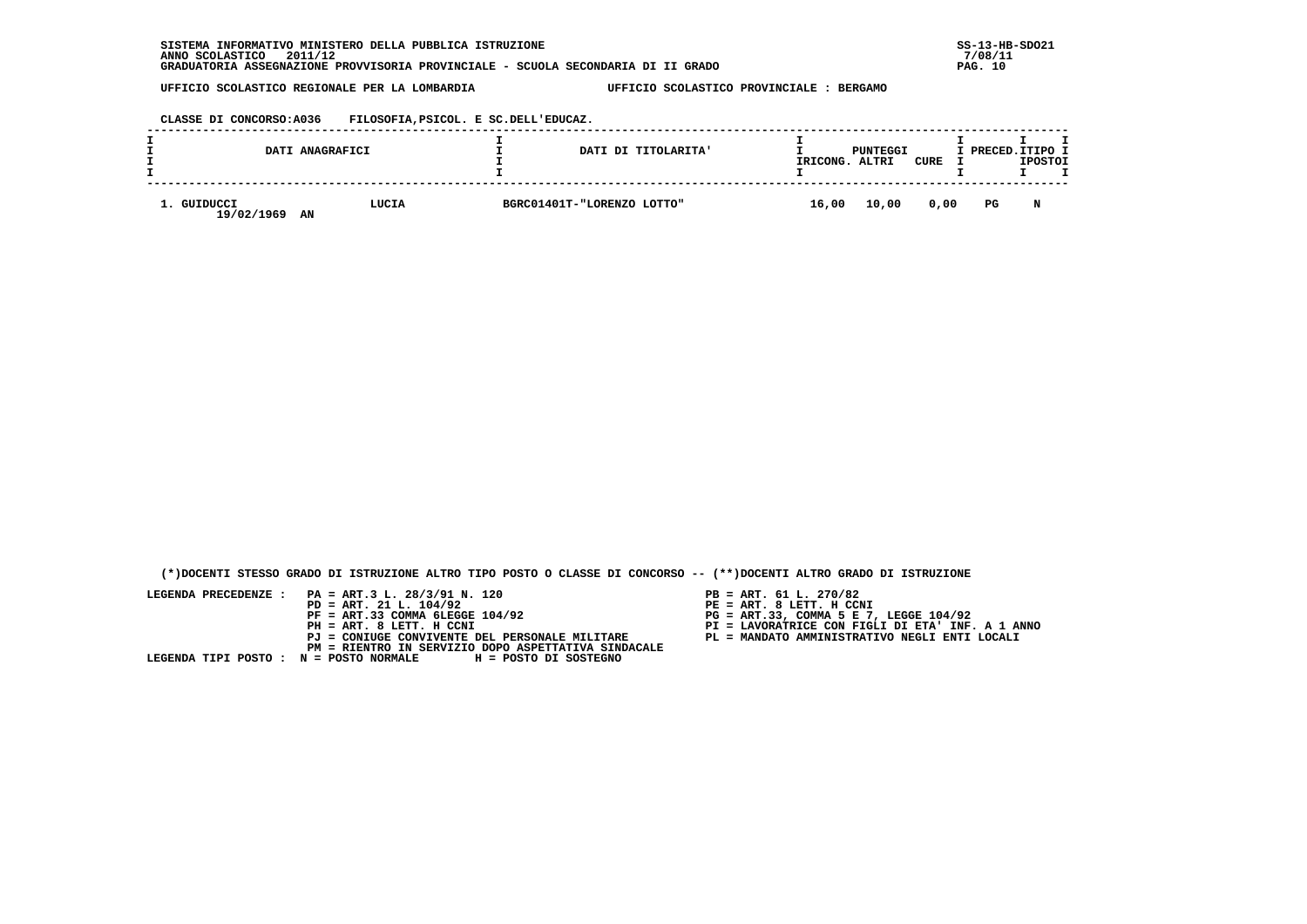**CLASSE DI CONCORSO:A036 FILOSOFIA,PSICOL. E SC.DELL'EDUCAZ.**

|  |                        | DATI ANAGRAFICI | DATI DI TITOLARITA'        | IRICONG. | PUNTEGGI<br>ALTRI | CURE | I PRECED.ITIPO I | <b>IPOSTOI</b> |  |
|--|------------------------|-----------------|----------------------------|----------|-------------------|------|------------------|----------------|--|
|  | GUIDUCCI<br>19/02/1969 | LUCIA<br>AN     | BGRC01401T-"LORENZO LOTTO" | 16,00    | 10,00             | 0,00 | PG               | N              |  |

 **(\*)DOCENTI STESSO GRADO DI ISTRUZIONE ALTRO TIPO POSTO O CLASSE DI CONCORSO -- (\*\*)DOCENTI ALTRO GRADO DI ISTRUZIONE**

- PB = ART. 61 L. 270/82<br>PE = ART. 8 LETT. H CCNI
- 
- 
- 
-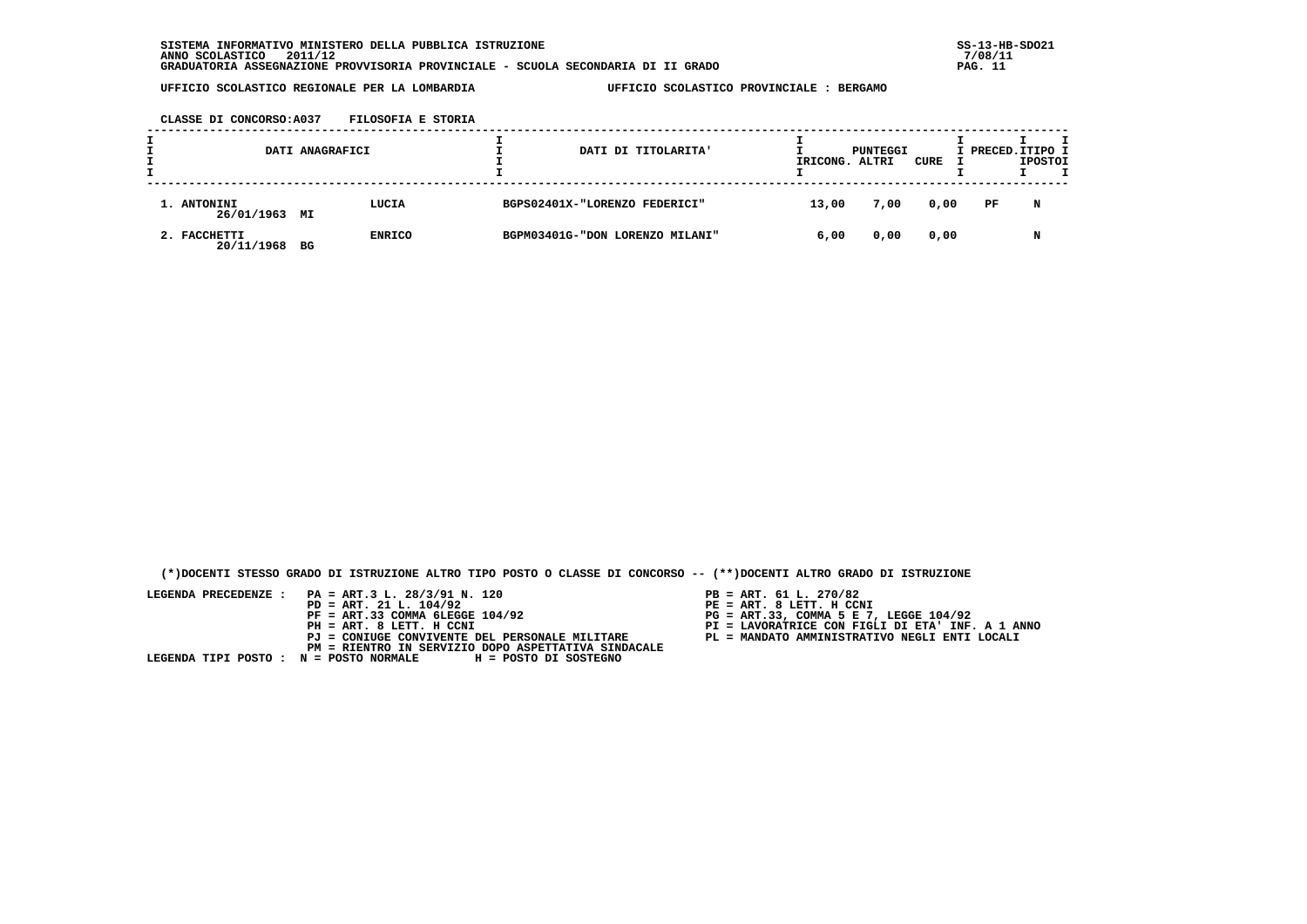**CLASSE DI CONCORSO:A037 FILOSOFIA E STORIA**

| DATI ANAGRAFICI<br>DATI DI TITOLARITA' |    |               | IRICONG. ALTRI | PUNTEGGI                        | CURE  | I PRECED.ITIPO I | <b>IPOSTOI</b> |     |   |  |
|----------------------------------------|----|---------------|----------------|---------------------------------|-------|------------------|----------------|-----|---|--|
| 1. ANTONINI<br>26/01/1963 MI           |    | LUCIA         |                | BGPS02401X-"LORENZO FEDERICI"   | 13,00 | 7,00             | 0,00           | PF. | N |  |
| 2. FACCHETTI<br>20/11/1968             | BG | <b>ENRICO</b> |                | BGPM03401G-"DON LORENZO MILANI" | 6,00  | 0,00             | 0,00           |     | N |  |

 **(\*)DOCENTI STESSO GRADO DI ISTRUZIONE ALTRO TIPO POSTO O CLASSE DI CONCORSO -- (\*\*)DOCENTI ALTRO GRADO DI ISTRUZIONE**

- 
- 
- 
- 
-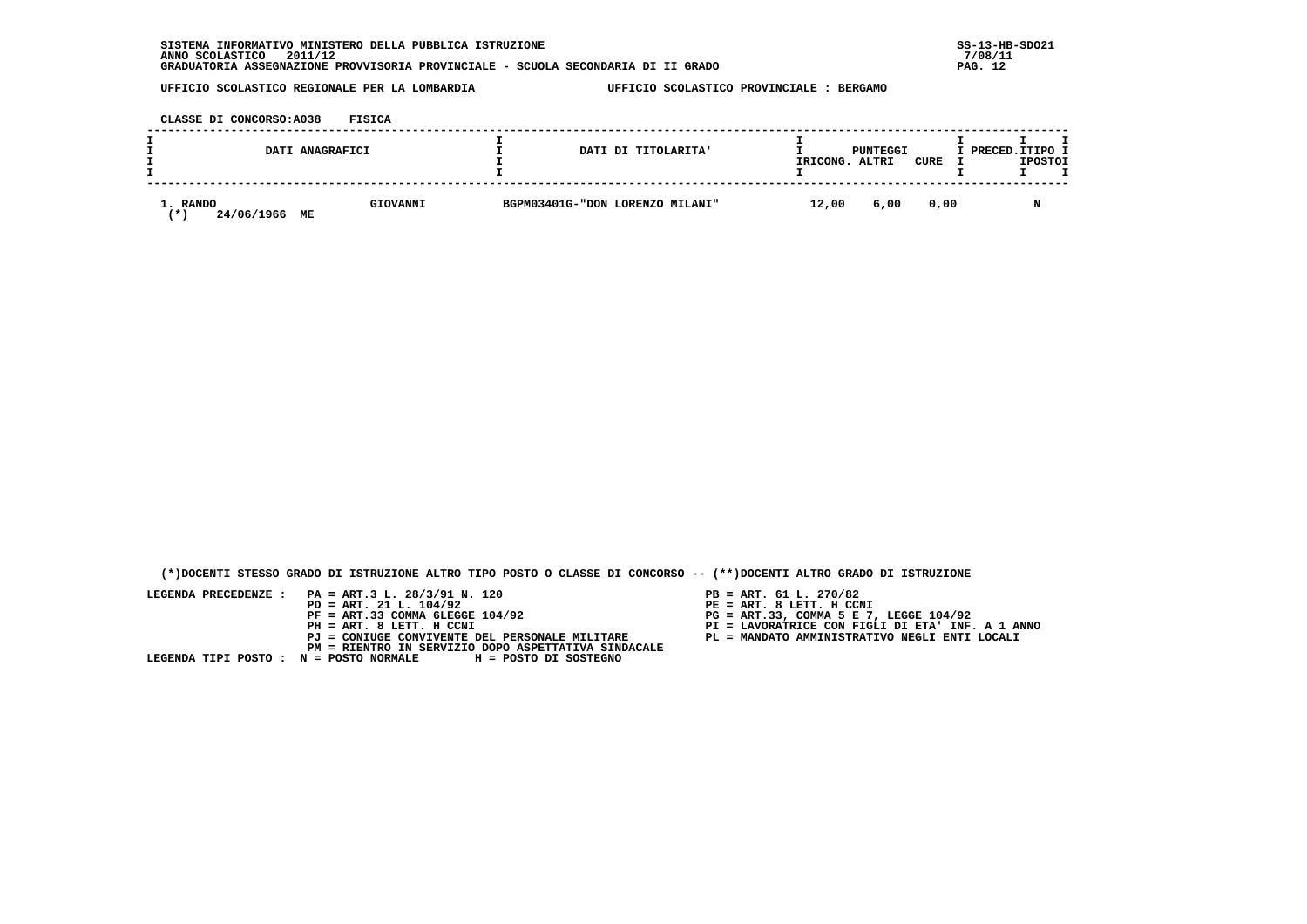| INFORMATIVO MINISTERO DELLA PUBBLICA ISTRUZIONE<br><b>SISTEMA</b>                | $SS-13-HE$ |
|----------------------------------------------------------------------------------|------------|
| 2011/12<br>ANNO SCOLASTICO                                                       | 7/08/11    |
| GRADUATORIA ASSEGNAZIONE PROVVISORIA PROVINCIALE - SCUOLA SECONDARIA DI II GRADO | PAG.       |

 **CLASSE DI CONCORSO:A038 FISICA**

| DATI ANAGRAFICI               |                | DATI DI TITOLARITA'             | IRICONG. | PUNTEGGI<br>ALTRI | CURE | I PRECED. ITIPO I<br><b>IPOSTOI</b> |
|-------------------------------|----------------|---------------------------------|----------|-------------------|------|-------------------------------------|
| 1. RANDO<br>24/06/1966<br>. ж | GIOVANNI<br>MЕ | BGPM03401G-"DON LORENZO MILANI" | 12,00    | 6,00              | 0,00 |                                     |

 **(\*)DOCENTI STESSO GRADO DI ISTRUZIONE ALTRO TIPO POSTO O CLASSE DI CONCORSO -- (\*\*)DOCENTI ALTRO GRADO DI ISTRUZIONE**

- PB = ART. 61 L. 270/82<br>PE = ART. 8 LETT. H CCNI
- 
- 
- 
-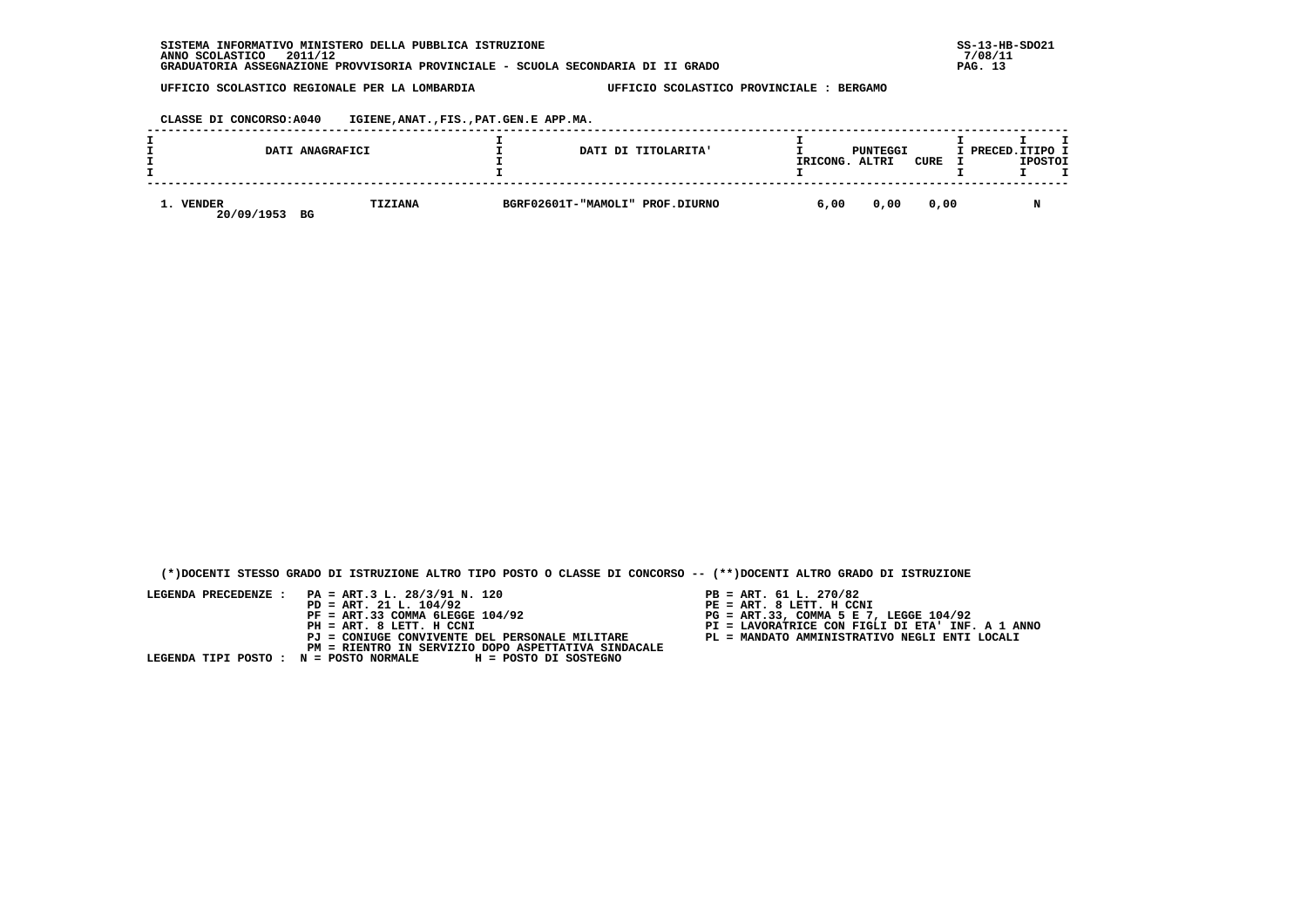**CLASSE DI CONCORSO:A040 IGIENE,ANAT.,FIS.,PAT.GEN.E APP.MA.**

|  |                      | DATI ANAGRAFICI | DATI DI TITOLARITA'             | IRICONG. | PUNTEGGI<br>ALTRI | CURE | I PRECED.ITIPO I | <b>IPOSTOI</b> |  |
|--|----------------------|-----------------|---------------------------------|----------|-------------------|------|------------------|----------------|--|
|  | VENDER<br>20/09/1953 | TIZIANA<br>BG   | BGRF02601T-"MAMOLI" PROF.DIURNO | 6,00     | 0,00              | 0,00 |                  | M              |  |

 **(\*)DOCENTI STESSO GRADO DI ISTRUZIONE ALTRO TIPO POSTO O CLASSE DI CONCORSO -- (\*\*)DOCENTI ALTRO GRADO DI ISTRUZIONE**

- PB = ART. 61 L. 270/82<br>PE = ART. 8 LETT. H CCNI
- 
- 
- 
-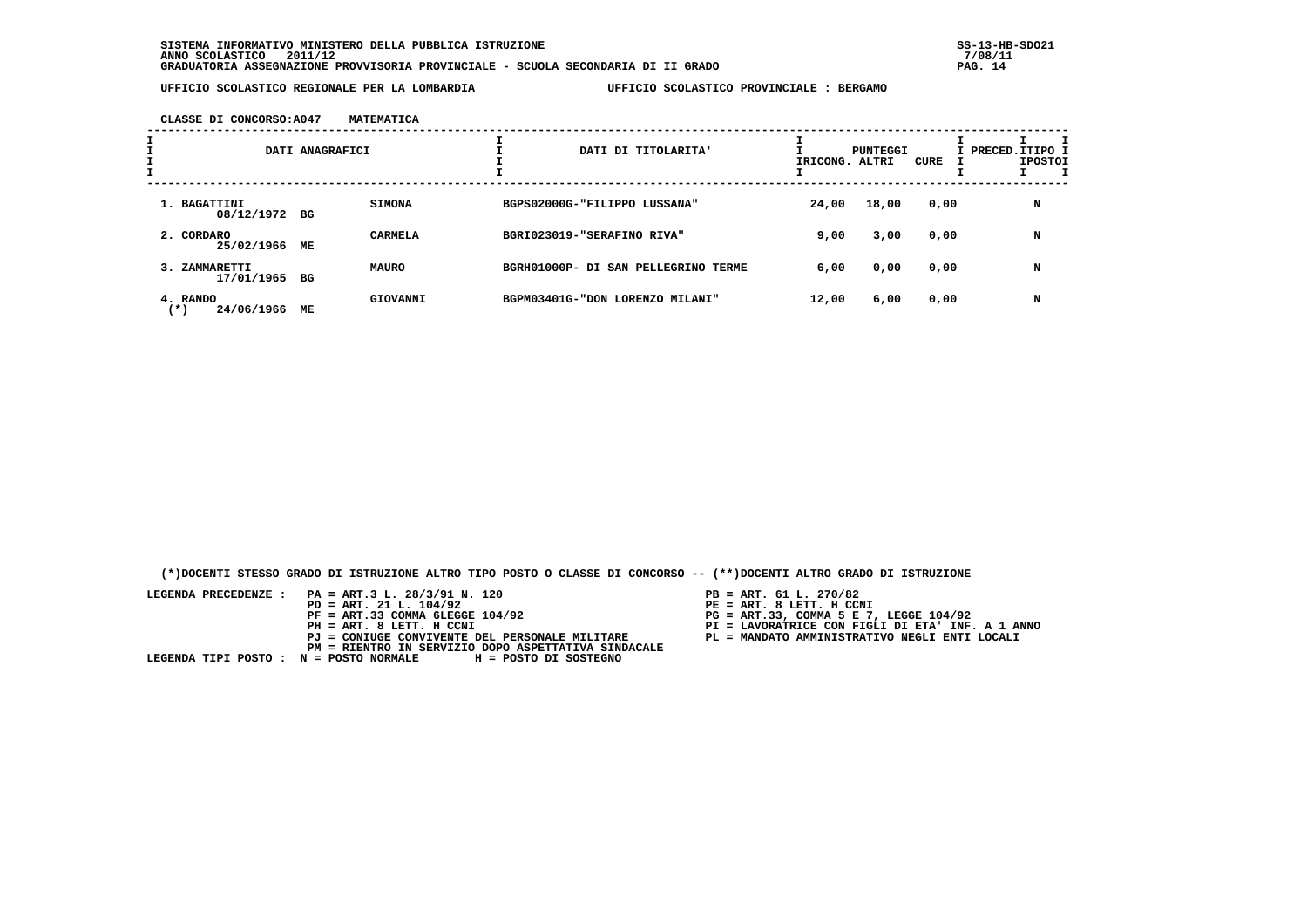**CLASSE DI CONCORSO:A047 MATEMATICA**

|   |                                 | DATI ANAGRAFICI |                | DATI DI TITOLARITA'                 | IRICONG. ALTRI | PUNTEGGI | CURE | I PRECED. ITIPO I | <b>IPOSTOI</b> |  |
|---|---------------------------------|-----------------|----------------|-------------------------------------|----------------|----------|------|-------------------|----------------|--|
| I |                                 |                 |                |                                     |                |          |      |                   |                |  |
|   | 1. BAGATTINI<br>08/12/1972 BG   |                 | <b>SIMONA</b>  | BGPS02000G-"FILIPPO LUSSANA"        | 24,00          | 18,00    | 0,00 |                   | N              |  |
|   | 2. CORDARO<br>25/02/1966        | MЕ              | <b>CARMELA</b> | BGRI023019-"SERAFINO RIVA"          | 9,00           | 3,00     | 0,00 |                   | N              |  |
|   | 3. ZAMMARETTI<br>17/01/1965 BG  |                 | <b>MAURO</b>   | BGRH01000P- DI SAN PELLEGRINO TERME | 6,00           | 0,00     | 0,00 |                   | N              |  |
|   | 4. RANDO<br>24/06/1966<br>( * ) | МE              | GIOVANNI       | BGPM03401G-"DON LORENZO MILANI"     | 12,00          | 6,00     | 0,00 |                   | N              |  |

 **(\*)DOCENTI STESSO GRADO DI ISTRUZIONE ALTRO TIPO POSTO O CLASSE DI CONCORSO -- (\*\*)DOCENTI ALTRO GRADO DI ISTRUZIONE**

- 
- 
- 
- 
-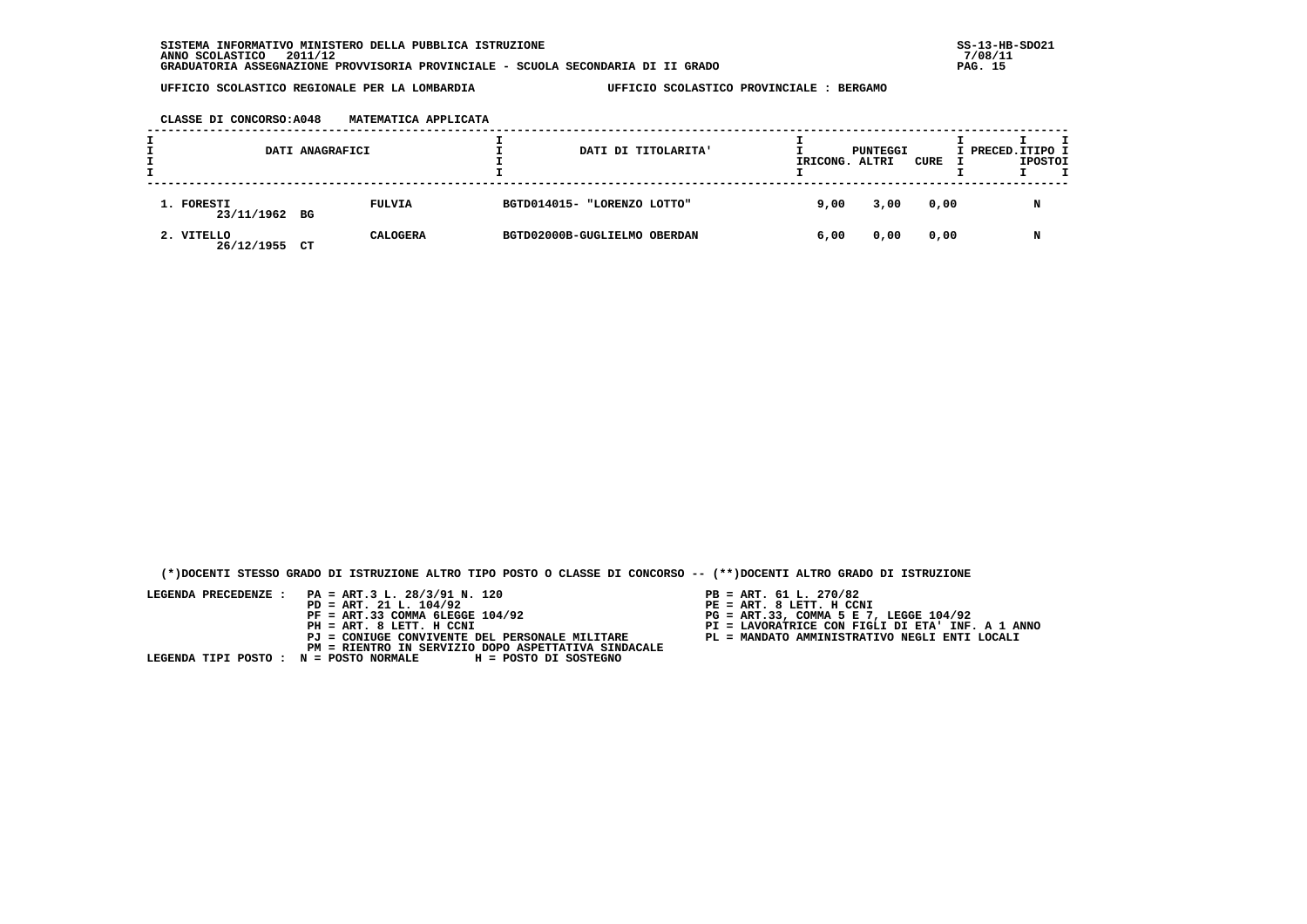**CLASSE DI CONCORSO:A048 MATEMATICA APPLICATA**

| DATI ANAGRAFICI<br>DATI DI TITOLARITA' |    |                 | IRICONG. ALTRI | PUNTEGGI                     | CURE | I PRECED.ITIPO I | <b>IPOSTOI</b> | T |   |  |
|----------------------------------------|----|-----------------|----------------|------------------------------|------|------------------|----------------|---|---|--|
| 1. FORESTI<br>23/11/1962 BG            |    | FULVIA          |                | BGTD014015- "LORENZO LOTTO"  | 9,00 | 3,00             | 0,00           |   | N |  |
| 2. VITELLO<br>26/12/1955               | CT | <b>CALOGERA</b> |                | BGTD02000B-GUGLIELMO OBERDAN | 6,00 | 0,00             | 0,00           |   | N |  |

 **(\*)DOCENTI STESSO GRADO DI ISTRUZIONE ALTRO TIPO POSTO O CLASSE DI CONCORSO -- (\*\*)DOCENTI ALTRO GRADO DI ISTRUZIONE**

- PB = ART. 61 L. 270/82<br>PE = ART. 8 LETT. H CCNI
- 
- 
- 
-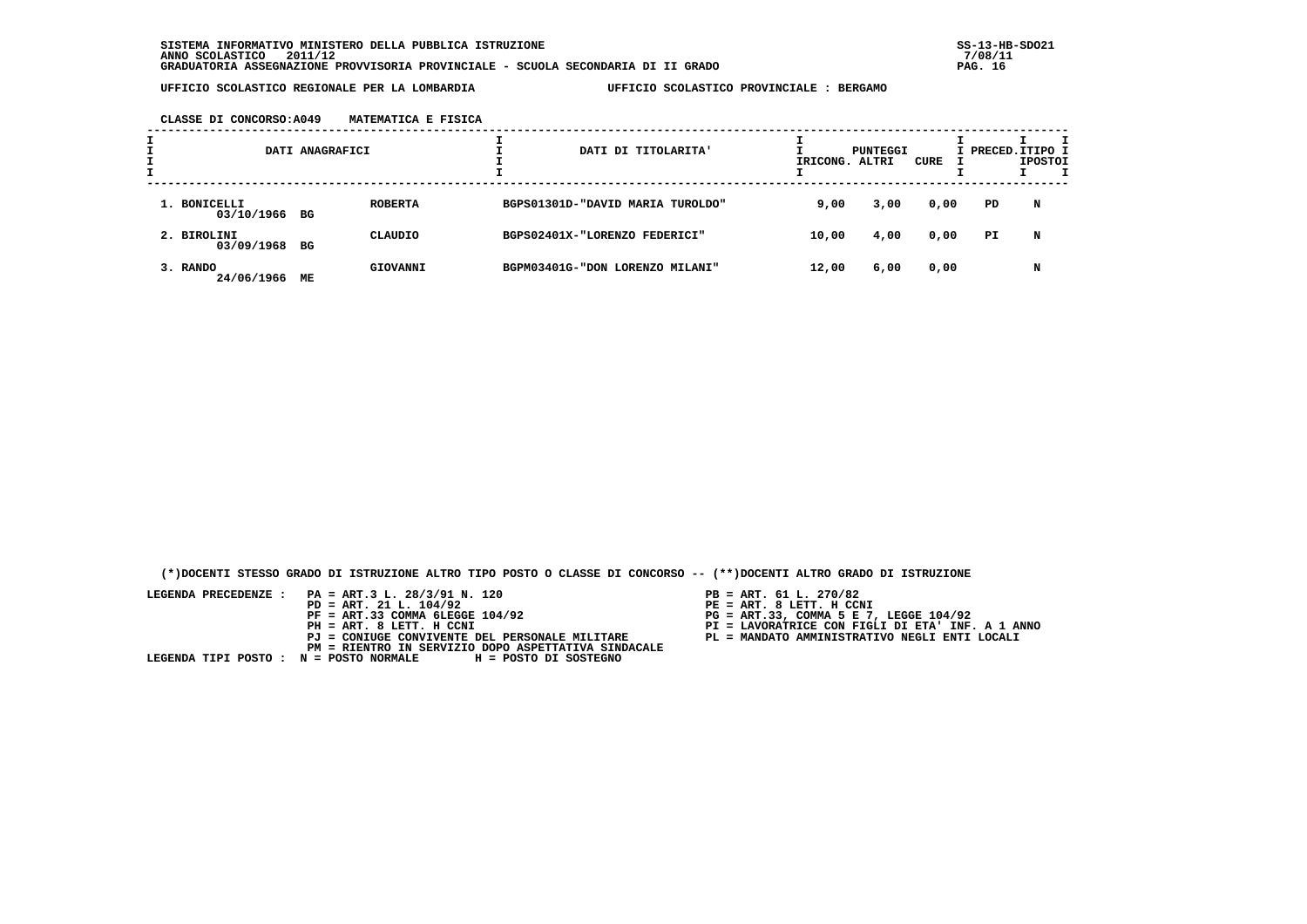|  | CLASSE DI CONCORSO: A049 | MATEMATICA E FISICA |  |  |
|--|--------------------------|---------------------|--|--|
|  |                          |                     |  |  |

|                               | DATI ANAGRAFICI |                | DATI DI TITOLARITA'              | IRICONG. ALTRI | PUNTEGGI | CURE | I PRECED. ITIPO I | <b>IPOSTOI</b> |  |
|-------------------------------|-----------------|----------------|----------------------------------|----------------|----------|------|-------------------|----------------|--|
| 1. BONICELLI<br>03/10/1966 BG |                 | <b>ROBERTA</b> | BGPS01301D-"DAVID MARIA TUROLDO" | 9,00           | 3,00     | 0,00 | PD                | N              |  |
| 2. BIROLINI<br>03/09/1968 BG  |                 | CLAUDIO        | BGPS02401X-"LORENZO FEDERICI"    | 10,00          | 4,00     | 0,00 | PI.               | N              |  |
| 3. RANDO<br>24/06/1966        | МE              | GIOVANNI       | BGPM03401G-"DON LORENZO MILANI"  | 12,00          | 6,00     | 0,00 |                   | N              |  |

 **(\*)DOCENTI STESSO GRADO DI ISTRUZIONE ALTRO TIPO POSTO O CLASSE DI CONCORSO -- (\*\*)DOCENTI ALTRO GRADO DI ISTRUZIONE**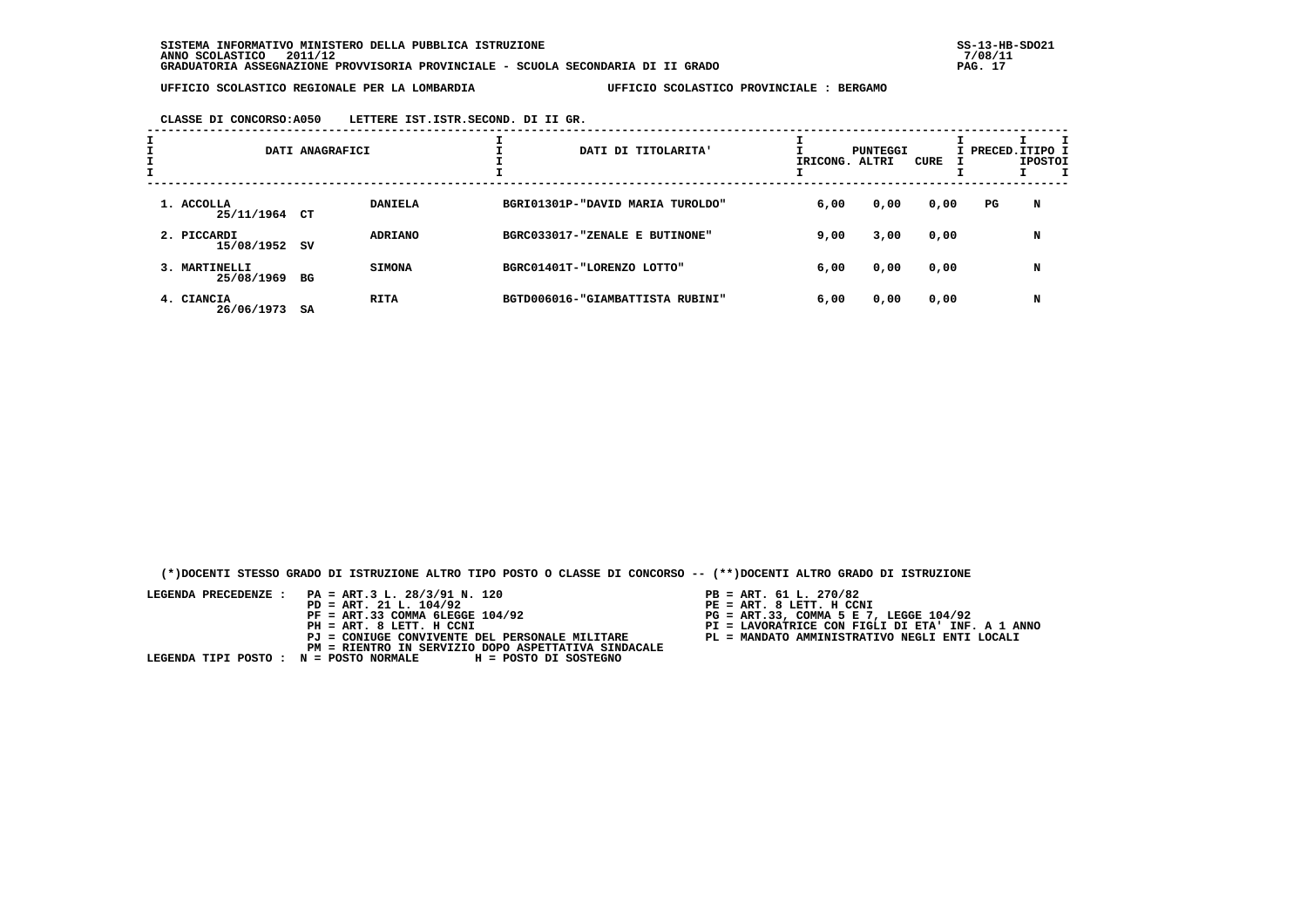|  |  | CLASSE DI CONCORSO: A050 | LETTERE IST. ISTR. SECOND. DI II GR. |  |  |  |  |  |
|--|--|--------------------------|--------------------------------------|--|--|--|--|--|
|--|--|--------------------------|--------------------------------------|--|--|--|--|--|

| I |                              | DATI ANAGRAFICI |                | DATI DI TITOLARITA'              |      | PUNTEGGI<br>IRICONG. ALTRI | CURE |    | I PRECED. ITIPO I<br><b>IPOSTOI</b> |
|---|------------------------------|-----------------|----------------|----------------------------------|------|----------------------------|------|----|-------------------------------------|
|   | 1. ACCOLLA<br>25/11/1964 CT  |                 | <b>DANIELA</b> | BGRI01301P-"DAVID MARIA TUROLDO" | 6,00 | 0,00                       | 0,00 | PG | N                                   |
|   | 2. PICCARDI<br>15/08/1952 SV |                 | <b>ADRIANO</b> | BGRC033017-"ZENALE E BUTINONE"   | 9,00 | 3,00                       | 0,00 |    | N                                   |
|   | 3. MARTINELLI<br>25/08/1969  | BG              | <b>SIMONA</b>  | BGRC01401T-"LORENZO LOTTO"       | 6,00 | 0,00                       | 0,00 |    | N                                   |
|   | 4. CIANCIA<br>26/06/1973     | SA              | <b>RITA</b>    | BGTD006016-"GIAMBATTISTA RUBINI" | 6,00 | 0,00                       | 0,00 |    | N                                   |

 **(\*)DOCENTI STESSO GRADO DI ISTRUZIONE ALTRO TIPO POSTO O CLASSE DI CONCORSO -- (\*\*)DOCENTI ALTRO GRADO DI ISTRUZIONE**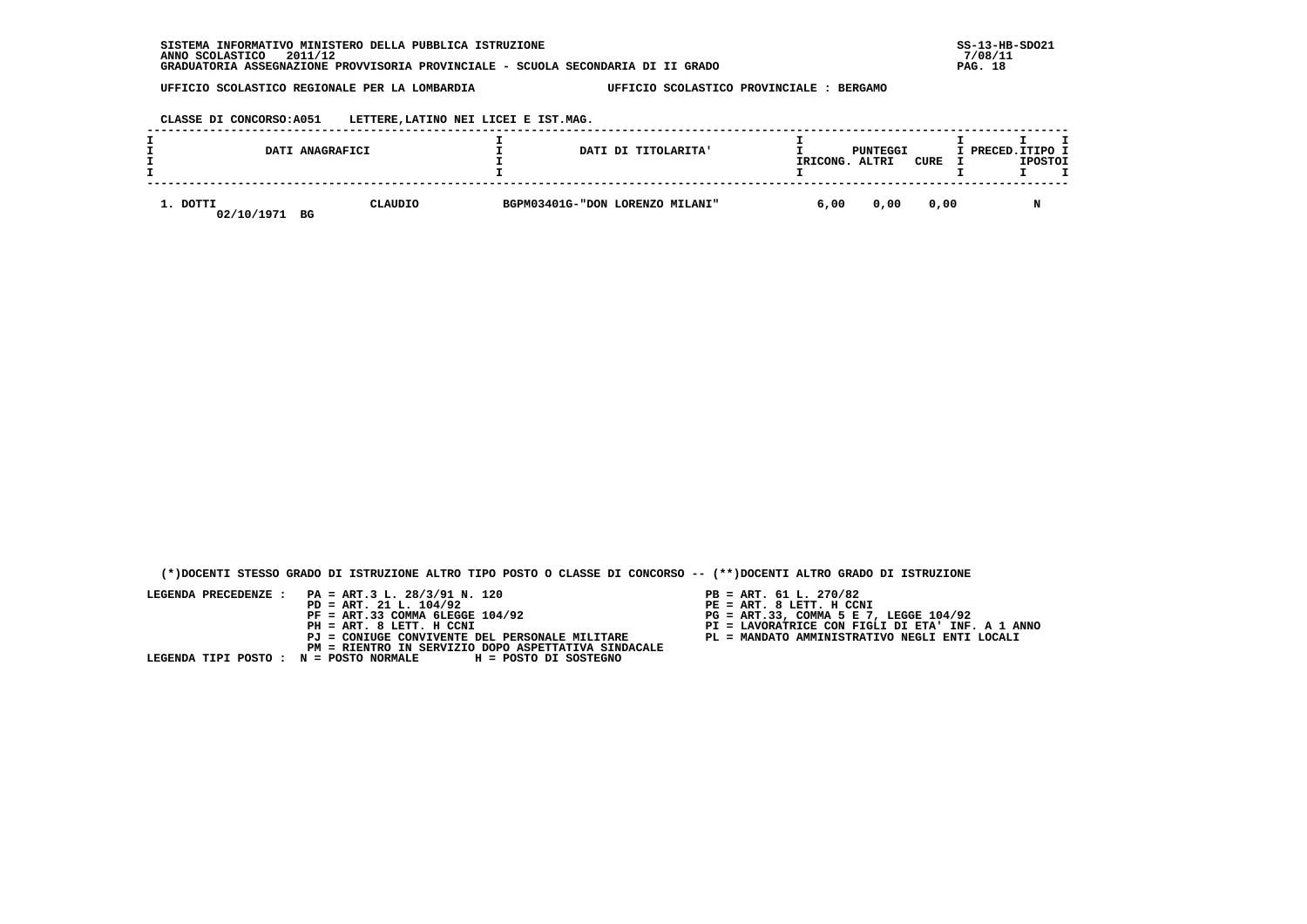**CLASSE DI CONCORSO:A051 LETTERE,LATINO NEI LICEI E IST.MAG.**

|                        | DATI ANAGRAFICI | DATI DI TITOLARITA'             | IRICONG. | PUNTEGGI<br>ALTRI | CURE | I PRECED.ITIPO I<br><b>IPOSTOI</b> |
|------------------------|-----------------|---------------------------------|----------|-------------------|------|------------------------------------|
| 1. DOTTI<br>02/10/1971 | CLAUDIO<br>BG   | BGPM03401G-"DON LORENZO MILANI" | 6,00     | 0,00              | 0,00 |                                    |

 **(\*)DOCENTI STESSO GRADO DI ISTRUZIONE ALTRO TIPO POSTO O CLASSE DI CONCORSO -- (\*\*)DOCENTI ALTRO GRADO DI ISTRUZIONE**

- PB = ART. 61 L. 270/82<br>PE = ART. 8 LETT. H CCNI
- 
- 
- 
-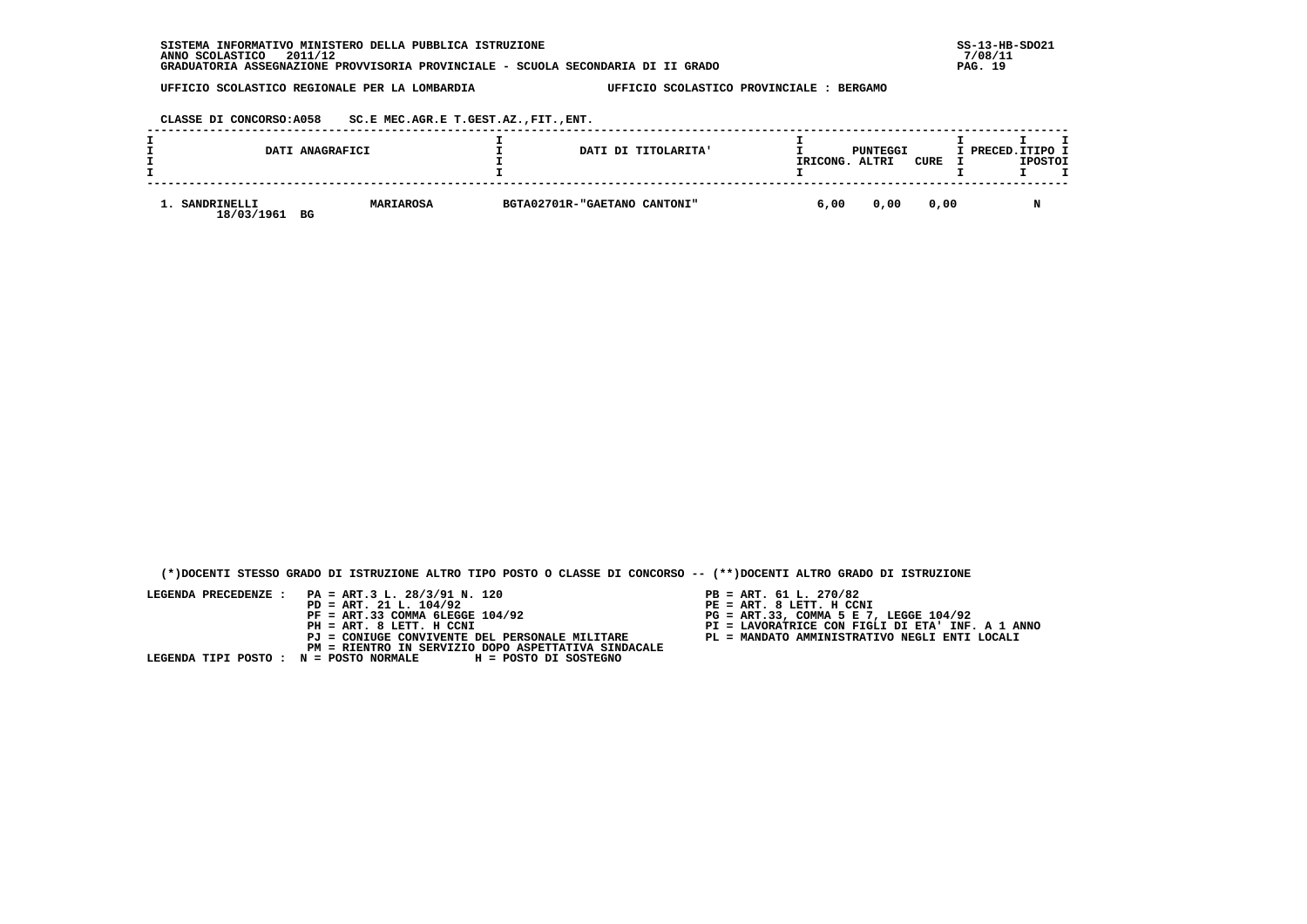| INFORMATIVO MINISTERO DELLA PUBBLICA ISTRUZIONE<br><b>SISTEMA</b>                | $SS-13-HE$ |
|----------------------------------------------------------------------------------|------------|
| 2011/12<br>ANNO SCOLASTICO                                                       | 7/08/11    |
| GRADUATORIA ASSEGNAZIONE PROVVISORIA PROVINCIALE - SCUOLA SECONDARIA DI II GRADO | 19<br>PAG. |

 **CLASSE DI CONCORSO:A058 SC.E MEC.AGR.E T.GEST.AZ.,FIT.,ENT.**

|                           | DATI ANAGRAFICI        | DATI DI TITOLARITA'          | IRICONG. | PUNTEGGI<br>ALTRI | CURE | I PRECED. ITIPO I<br><b>IPOSTOI</b> |
|---------------------------|------------------------|------------------------------|----------|-------------------|------|-------------------------------------|
| SANDRINELLI<br>18/03/1961 | <b>MARIAROSA</b><br>BG | BGTA02701R-"GAETANO CANTONI" | 6,00     | 0,00              | 0.00 | M                                   |

 **(\*)DOCENTI STESSO GRADO DI ISTRUZIONE ALTRO TIPO POSTO O CLASSE DI CONCORSO -- (\*\*)DOCENTI ALTRO GRADO DI ISTRUZIONE**

- PB = ART. 61 L. 270/82<br>PE = ART. 8 LETT. H CCNI
- 
- 
- 
-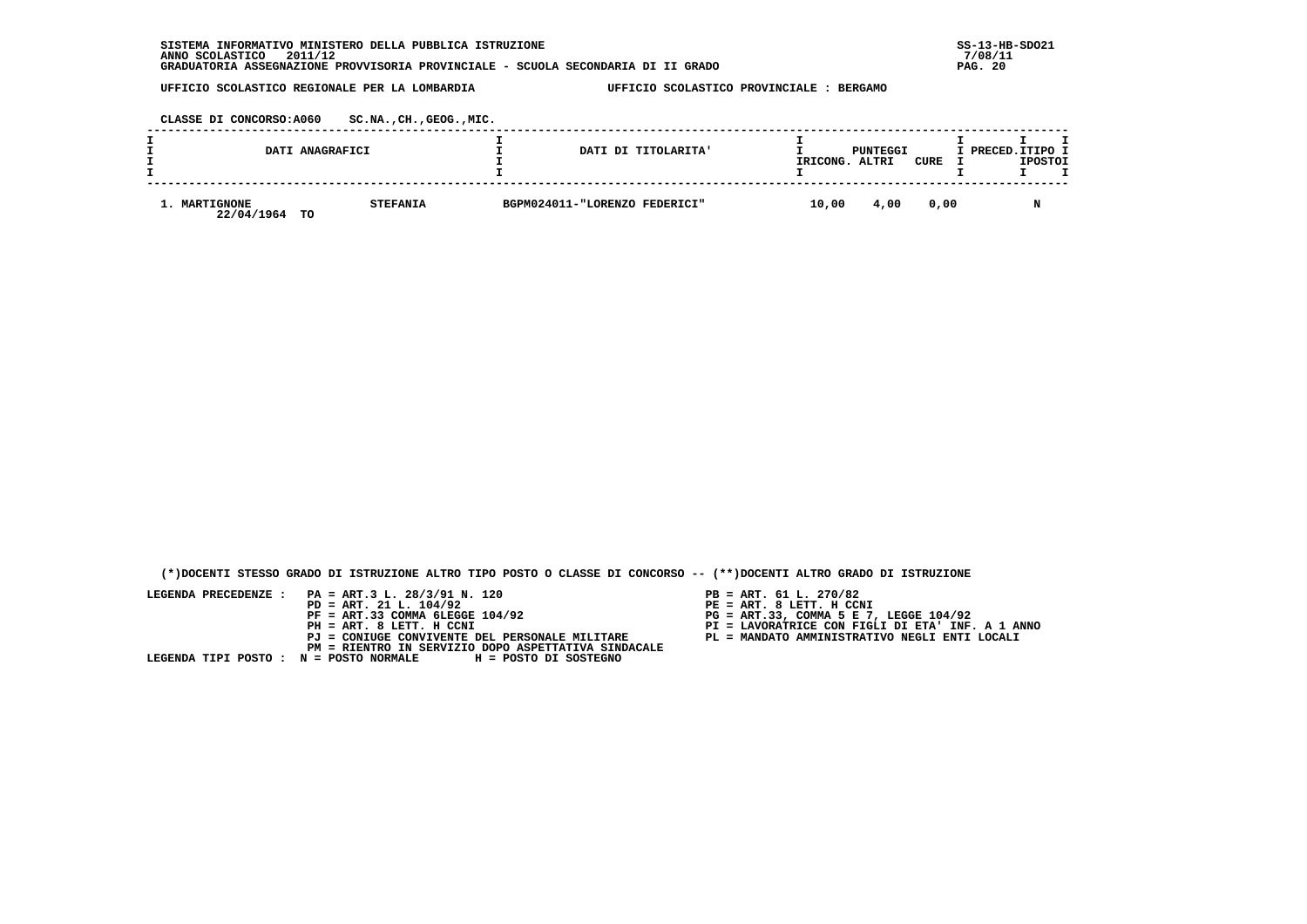| INFORMATIVO MINISTERO DELLA PUBBLICA ISTRUZIONE<br><b>SISTEMA</b>                | $SS-13-HE$   |
|----------------------------------------------------------------------------------|--------------|
| 2011/12<br>ANNO SCOLASTICO                                                       | 7/08/11      |
| GRADUATORIA ASSEGNAZIONE PROVVISORIA PROVINCIALE - SCUOLA SECONDARIA DI II GRADO | - 20<br>PAG. |

 **CLASSE DI CONCORSO:A060 SC.NA.,CH.,GEOG.,MIC.**

| DATI ANAGRAFICI                   |                 | DATI DI TITOLARITA'           | IRICONG. | PUNTEGGI<br>ALTRI | CURE | I PRECED.ITIPO I | <b>IPOSTOI</b> |  |
|-----------------------------------|-----------------|-------------------------------|----------|-------------------|------|------------------|----------------|--|
| 1. MARTIGNONE<br>22/04/1964<br>TO | <b>STEFANIA</b> | BGPM024011-"LORENZO FEDERICI" | 10,00    | 4,00              | 0.00 |                  |                |  |

 **(\*)DOCENTI STESSO GRADO DI ISTRUZIONE ALTRO TIPO POSTO O CLASSE DI CONCORSO -- (\*\*)DOCENTI ALTRO GRADO DI ISTRUZIONE**

- PB = ART. 61 L. 270/82<br>PE = ART. 8 LETT. H CCNI
- 
- 
- 
-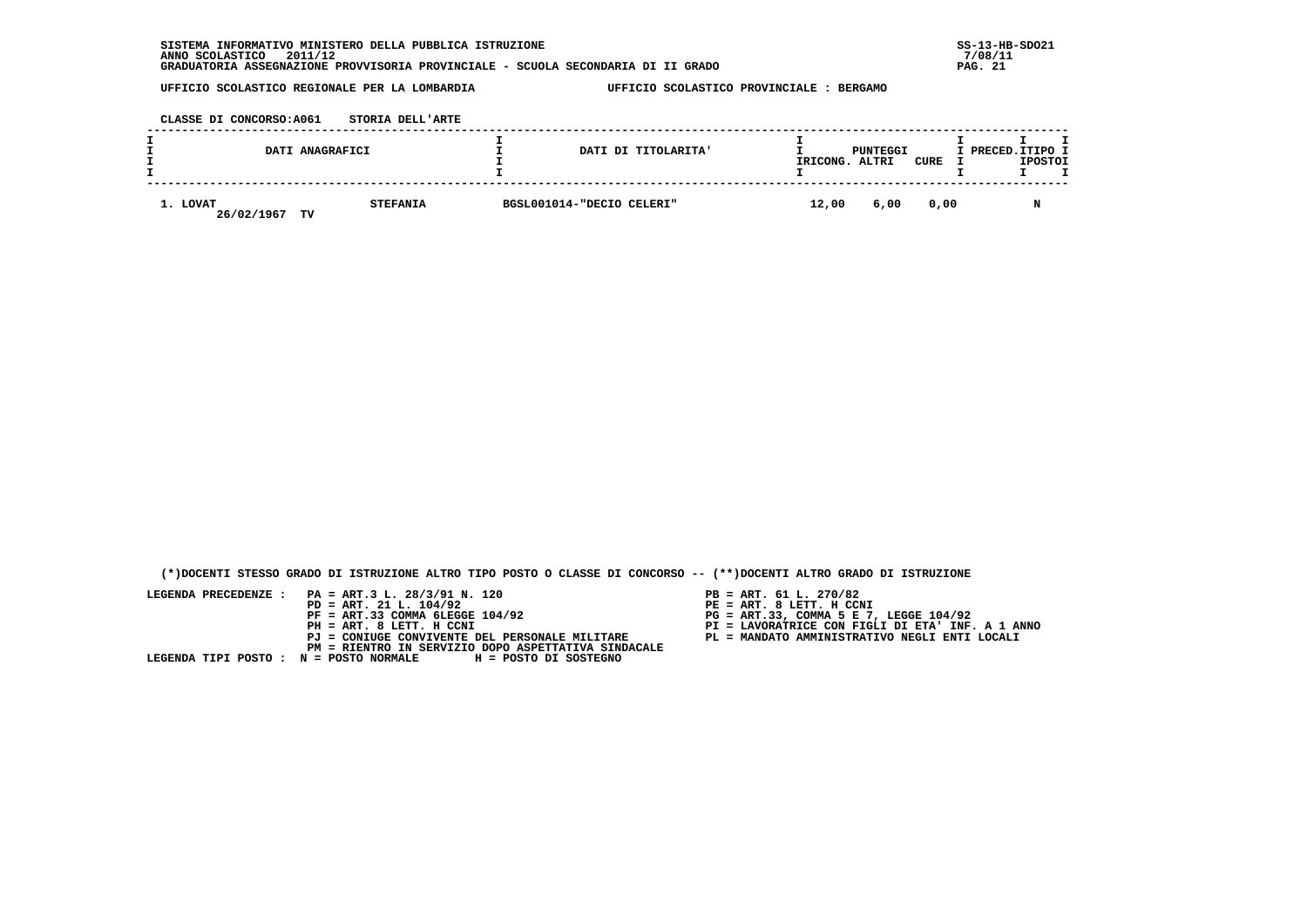| INFORMATIVO MINISTERO DELLA PUBBLICA ISTRUZIONE<br><b>SISTEMA</b>                | $SS-13-HE$  |
|----------------------------------------------------------------------------------|-------------|
| 2011/12<br>ANNO SCOLASTICO                                                       | 7/08/11     |
| GRADUATORIA ASSEGNAZIONE PROVVISORIA PROVINCIALE - SCUOLA SECONDARIA DI II GRADO | -21<br>PAG. |

 **CLASSE DI CONCORSO:A061 STORIA DELL'ARTE**

|                        | DATI ANAGRAFICI       | DATI DI TITOLARITA'       | IRICONG. | PUNTEGGI<br>ALTRI | CURE | I PRECED.ITIPO I | <b>IPOSTOI</b> |  |
|------------------------|-----------------------|---------------------------|----------|-------------------|------|------------------|----------------|--|
| 1. LOVAT<br>26/02/1967 | <b>STEFANIA</b><br>TV | BGSL001014-"DECIO CELERI" | 12,00    | 6,00              | 0,00 |                  |                |  |

 **(\*)DOCENTI STESSO GRADO DI ISTRUZIONE ALTRO TIPO POSTO O CLASSE DI CONCORSO -- (\*\*)DOCENTI ALTRO GRADO DI ISTRUZIONE**

- 
- PB = ART. 61 L. 270/82<br>PE = ART. 8 LETT. H CCNI
- 
- 
-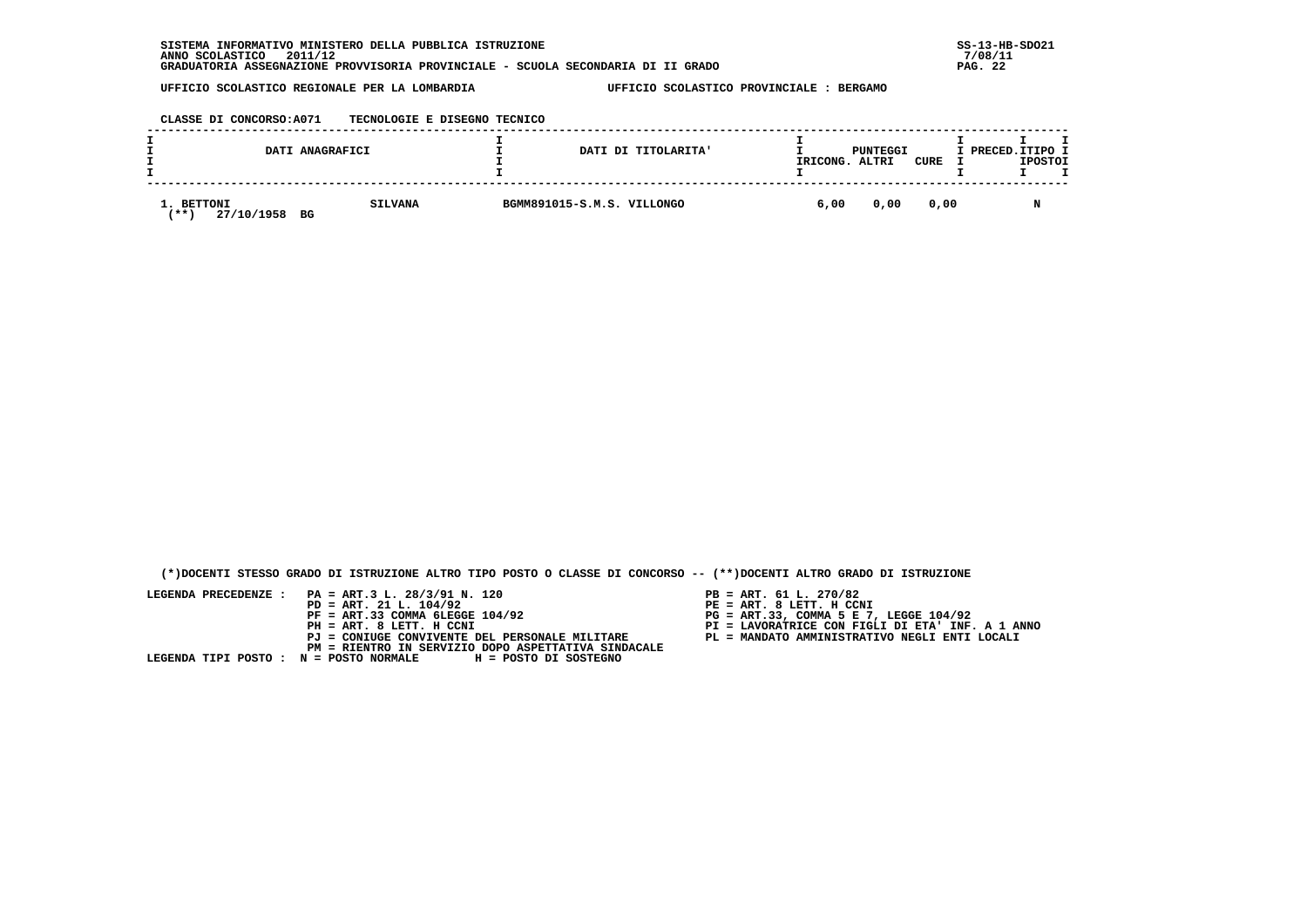**CLASSE DI CONCORSO:A071 TECNOLOGIE E DISEGNO TECNICO**

|           |                          | DATI ANAGRAFICI      | DATI DI TITOLARITA'        | IRICONG. | PUNTEGGI<br>ALTRI | <b>CURE</b> | I PRECED. ITIPO I | <b>IPOSTOI</b> |  |
|-----------|--------------------------|----------------------|----------------------------|----------|-------------------|-------------|-------------------|----------------|--|
| <b>**</b> | 1. BETTONI<br>27/10/1958 | <b>SILVANA</b><br>BG | BGMM891015-S.M.S. VILLONGO | 6,00     | 0,00              | 0,00        |                   |                |  |

 **(\*)DOCENTI STESSO GRADO DI ISTRUZIONE ALTRO TIPO POSTO O CLASSE DI CONCORSO -- (\*\*)DOCENTI ALTRO GRADO DI ISTRUZIONE**

- PB = ART. 61 L. 270/82<br>PE = ART. 8 LETT. H CCNI
- 
- 
- 
-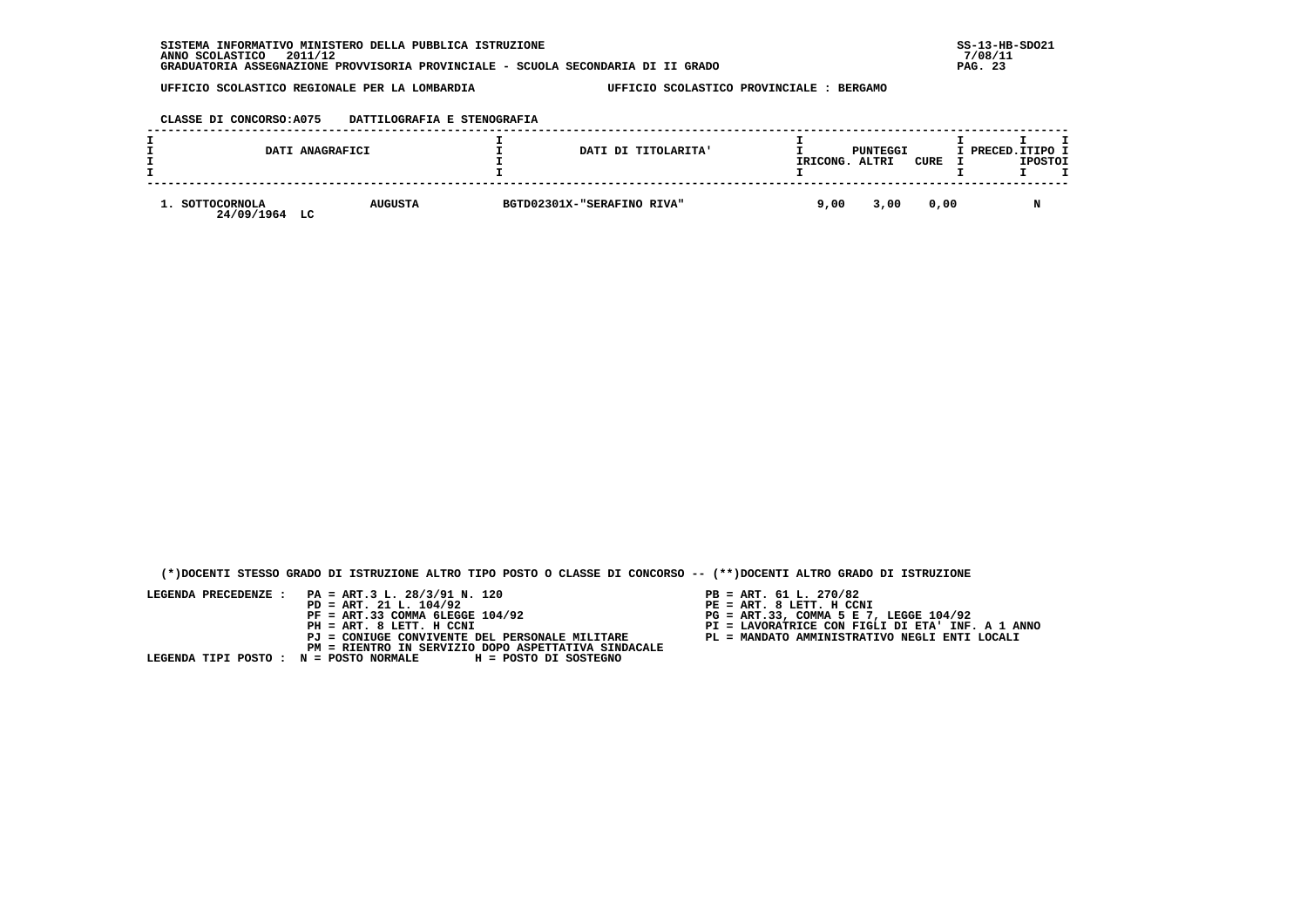| CLASSE DI CONCORSO:A075 | DATTILOGRAFIA E STENOGRAFIA |  |  |
|-------------------------|-----------------------------|--|--|
|-------------------------|-----------------------------|--|--|

|                               | DATI ANAGRAFICI | DATI DI TITOLARITA'        | IRICONG. | PUNTEGGI<br>ALTRI | CURE | I PRECED. ITIPO I | <b>IPOSTOI</b> |  |
|-------------------------------|-----------------|----------------------------|----------|-------------------|------|-------------------|----------------|--|
| SOTTOCORNOLA<br>24/09/1964 LC | <b>AUGUSTA</b>  | BGTD02301X-"SERAFINO RIVA" | 9,00     | 3,00              | 0.00 |                   | N              |  |

 **(\*)DOCENTI STESSO GRADO DI ISTRUZIONE ALTRO TIPO POSTO O CLASSE DI CONCORSO -- (\*\*)DOCENTI ALTRO GRADO DI ISTRUZIONE**

- 
- PB = ART. 61 L. 270/82<br>PE = ART. 8 LETT. H CCNI
- 
- 
-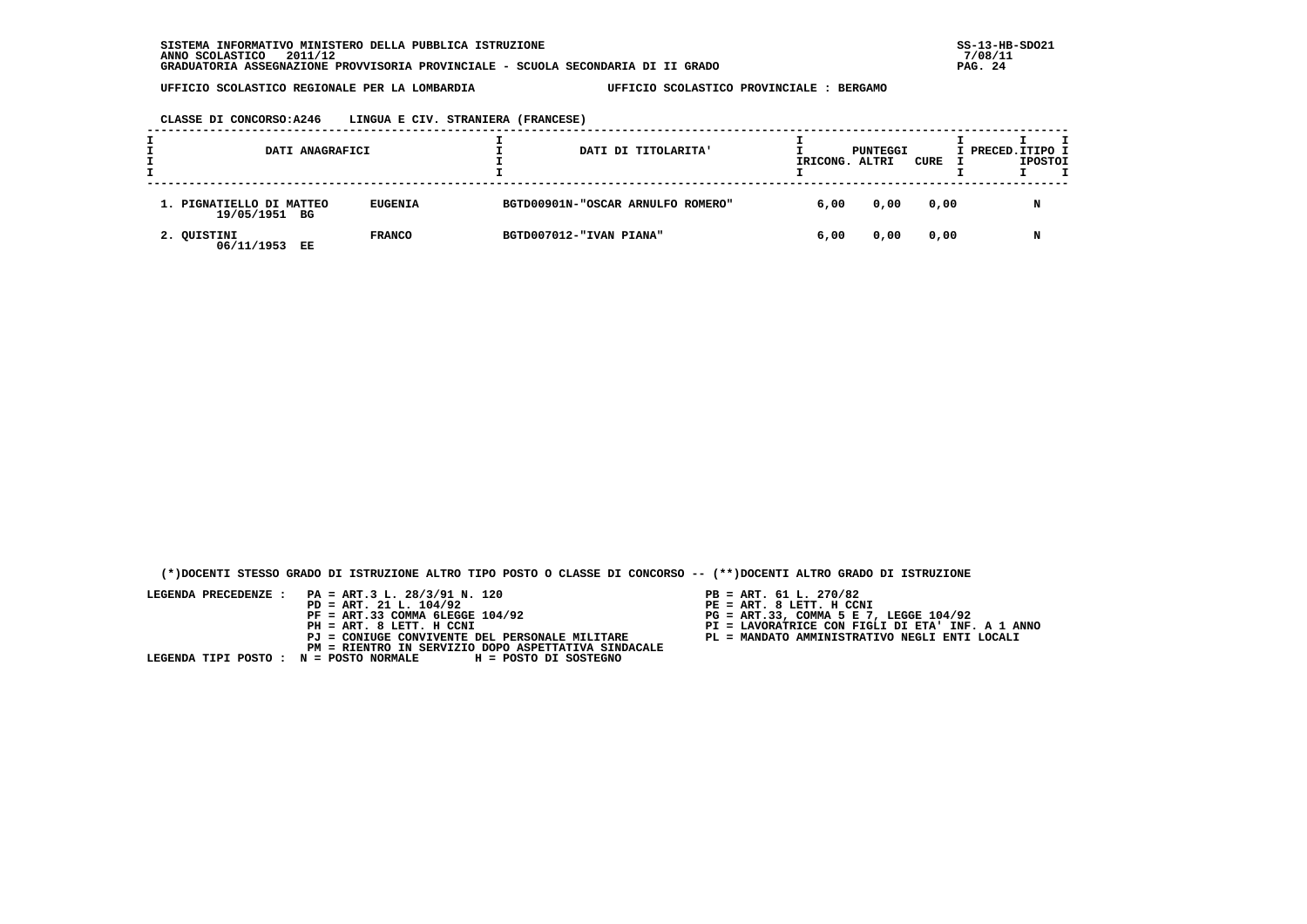| CLASSE DI CONCORSO:A246 | LINGUA E CIV. STRANIERA (FRANCESE) |  |  |
|-------------------------|------------------------------------|--|--|
|-------------------------|------------------------------------|--|--|

| DATI ANAGRAFICI                           |                |                         | DATI DI TITOLARITA'               | IRICONG. ALTRI | PUNTEGGI | CURE | I PRECED.ITIPO I | <b>IPOSTOI</b> | т |
|-------------------------------------------|----------------|-------------------------|-----------------------------------|----------------|----------|------|------------------|----------------|---|
| 1. PIGNATIELLO DI MATTEO<br>19/05/1951 BG | <b>EUGENIA</b> |                         | BGTD00901N-"OSCAR ARNULFO ROMERO" | 6,00           | 0,00     | 0,00 |                  | N              |   |
| 2. QUISTINI<br>06/11/1953<br>EE           | <b>FRANCO</b>  | BGTD007012-"IVAN PIANA" |                                   | 6,00           | 0,00     | 0,00 |                  | N              |   |

 **(\*)DOCENTI STESSO GRADO DI ISTRUZIONE ALTRO TIPO POSTO O CLASSE DI CONCORSO -- (\*\*)DOCENTI ALTRO GRADO DI ISTRUZIONE**

- 
- 
- 
- 
-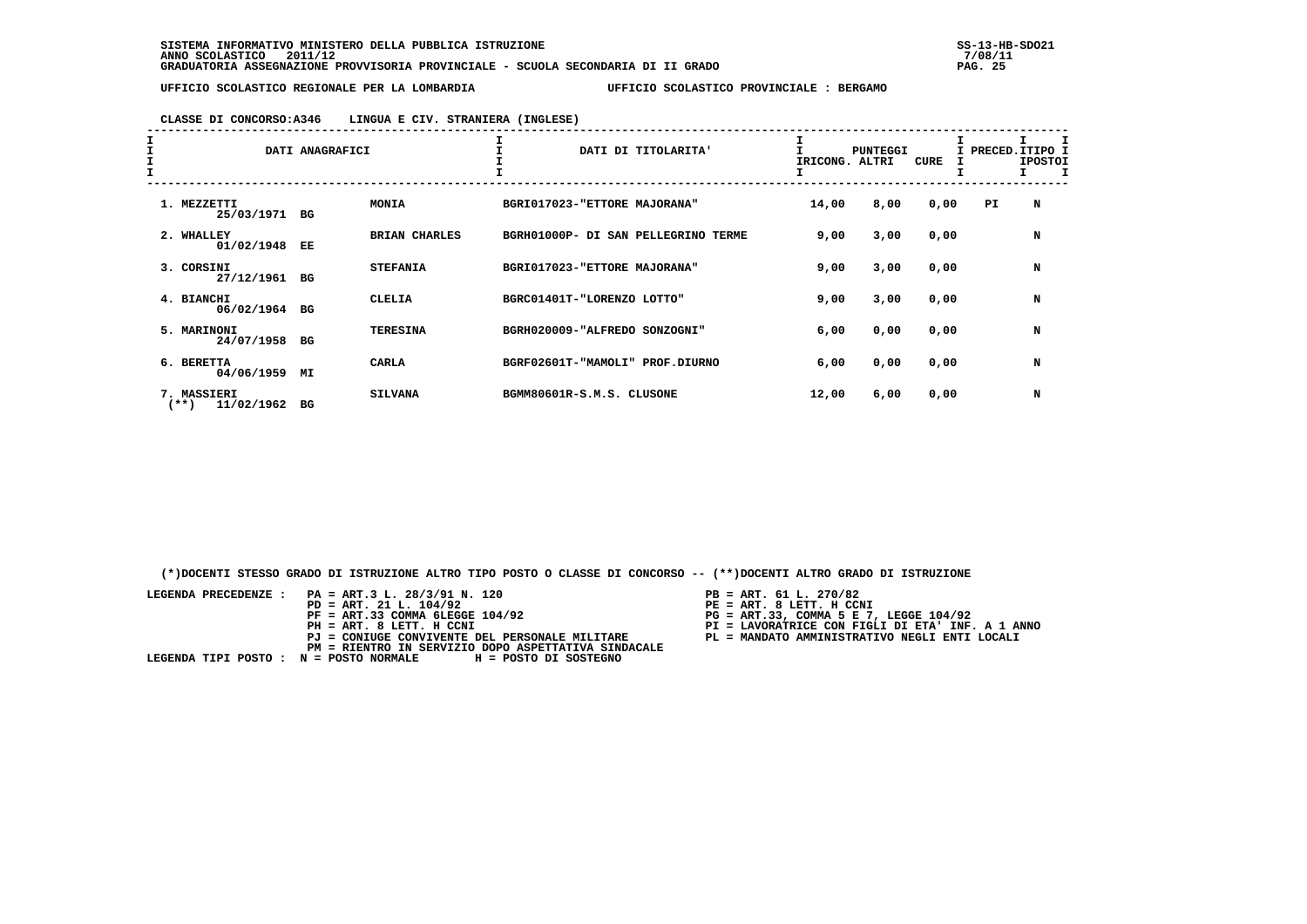# **CLASSE DI CONCORSO:A346 LINGUA E CIV. STRANIERA (INGLESE)**

| I<br>I<br>I | DATI ANAGRAFICI                   |    |                      | DATI DI TITOLARITA'                 | IRICONG. | <b>PUNTEGGI</b><br>ALTRI | CURE | I PRECED. ITIPO I<br>I | <b>IPOSTOI</b> |   |  |
|-------------|-----------------------------------|----|----------------------|-------------------------------------|----------|--------------------------|------|------------------------|----------------|---|--|
|             | 1. MEZZETTI<br>25/03/1971 BG      |    | <b>MONIA</b>         | BGRI017023-"ETTORE MAJORANA"        |          | 14,00                    | 8,00 | 0,00                   | PI.            | N |  |
|             | 2. WHALLEY<br>01/02/1948          | EE | <b>BRIAN CHARLES</b> | BGRH01000P- DI SAN PELLEGRINO TERME |          | 9,00                     | 3,00 | 0,00                   |                | N |  |
|             | 3. CORSINI<br>27/12/1961 BG       |    | <b>STEFANIA</b>      | BGRI017023-"ETTORE MAJORANA"        |          | 9,00                     | 3,00 | 0,00                   |                | N |  |
|             | 4. BIANCHI<br>06/02/1964 BG       |    | <b>CLELIA</b>        | BGRC01401T-"LORENZO LOTTO"          |          | 9,00                     | 3,00 | 0,00                   |                | N |  |
|             | 5. MARINONI<br>24/07/1958         | BG | <b>TERESINA</b>      | BGRH020009-"ALFREDO SONZOGNI"       |          | 6,00                     | 0,00 | 0,00                   |                | N |  |
|             | 6. BERETTA<br>04/06/1959          | МI | <b>CARLA</b>         | BGRF02601T-"MAMOLI" PROF.DIURNO     |          | 6,00                     | 0,00 | 0,00                   |                | N |  |
|             | 7. MASSIERI<br>11/02/1962<br>(**) | вG | <b>SILVANA</b>       | BGMM80601R-S.M.S. CLUSONE           |          | 12,00                    | 6,00 | 0,00                   |                | N |  |

 **(\*)DOCENTI STESSO GRADO DI ISTRUZIONE ALTRO TIPO POSTO O CLASSE DI CONCORSO -- (\*\*)DOCENTI ALTRO GRADO DI ISTRUZIONE**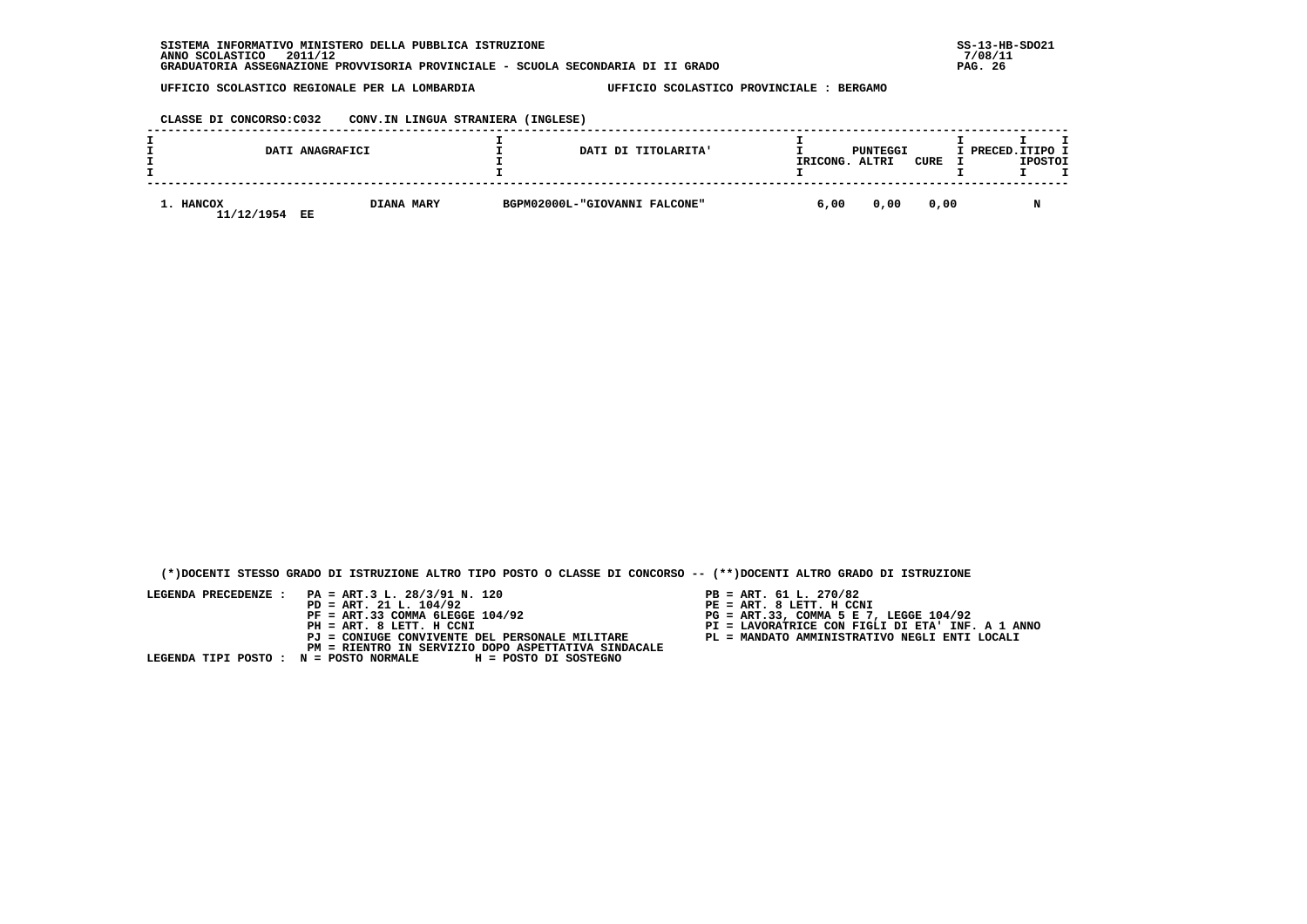**CLASSE DI CONCORSO:C032 CONV.IN LINGUA STRANIERA (INGLESE)**

|                         | DATI ANAGRAFICI         | DATI DI TITOLARITA'           | IRICONG. | PUNTEGGI<br>ALTRI | CURE | I PRECED. ITIPO I<br><b>IPOSTOI</b> |
|-------------------------|-------------------------|-------------------------------|----------|-------------------|------|-------------------------------------|
| 1. HANCOX<br>11/12/1954 | <b>DIANA MARY</b><br>EE | BGPM02000L-"GIOVANNI FALCONE" | 6,00     | 0,00              | 0.00 | M                                   |

 **(\*)DOCENTI STESSO GRADO DI ISTRUZIONE ALTRO TIPO POSTO O CLASSE DI CONCORSO -- (\*\*)DOCENTI ALTRO GRADO DI ISTRUZIONE**

- PB = ART. 61 L. 270/82<br>PE = ART. 8 LETT. H CCNI
- 
- 
- 
-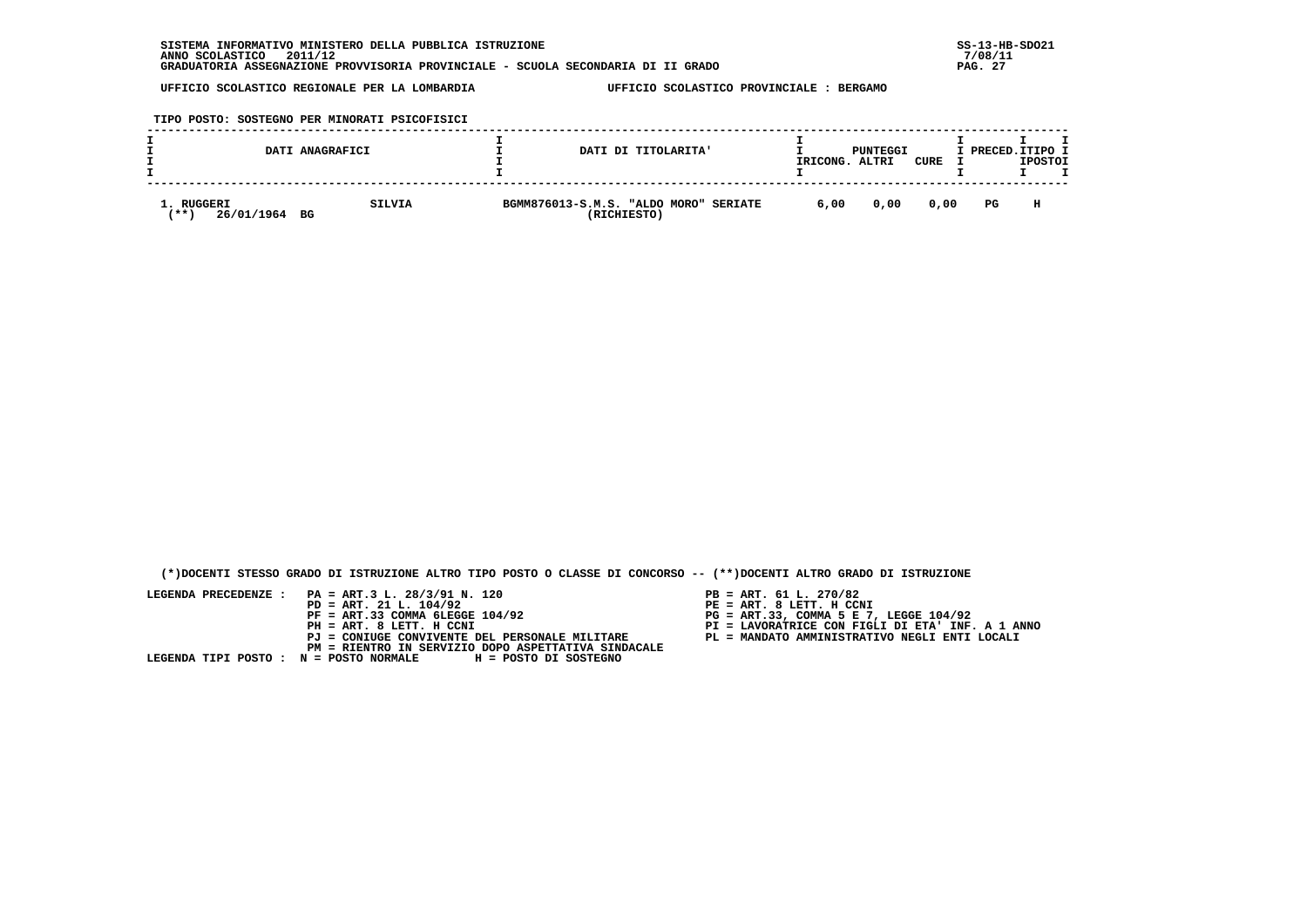**TIPO POSTO: SOSTEGNO PER MINORATI PSICOFISICI**

|                                      | DATI ANAGRAFICI     | DATI DI TITOLARITA'                                            | IRICONG. | PUNTEGGI<br>ALTRI | CURE | I PRECED. ITIPO I | <b>IPOSTOI</b> |
|--------------------------------------|---------------------|----------------------------------------------------------------|----------|-------------------|------|-------------------|----------------|
| . RUGGERI<br>26/01/1964<br><b>**</b> | <b>SILVIA</b><br>BG | BGMM876013-S.M.S. "ALDO MORO"<br><b>SERIATE</b><br>(RICHIESTO) | 6,00     | 0,00              | 0.00 | PG                | н              |

 **(\*)DOCENTI STESSO GRADO DI ISTRUZIONE ALTRO TIPO POSTO O CLASSE DI CONCORSO -- (\*\*)DOCENTI ALTRO GRADO DI ISTRUZIONE**

- PB = ART. 61 L. 270/82<br>PE = ART. 8 LETT. H CCNI
- 
- 
- 
-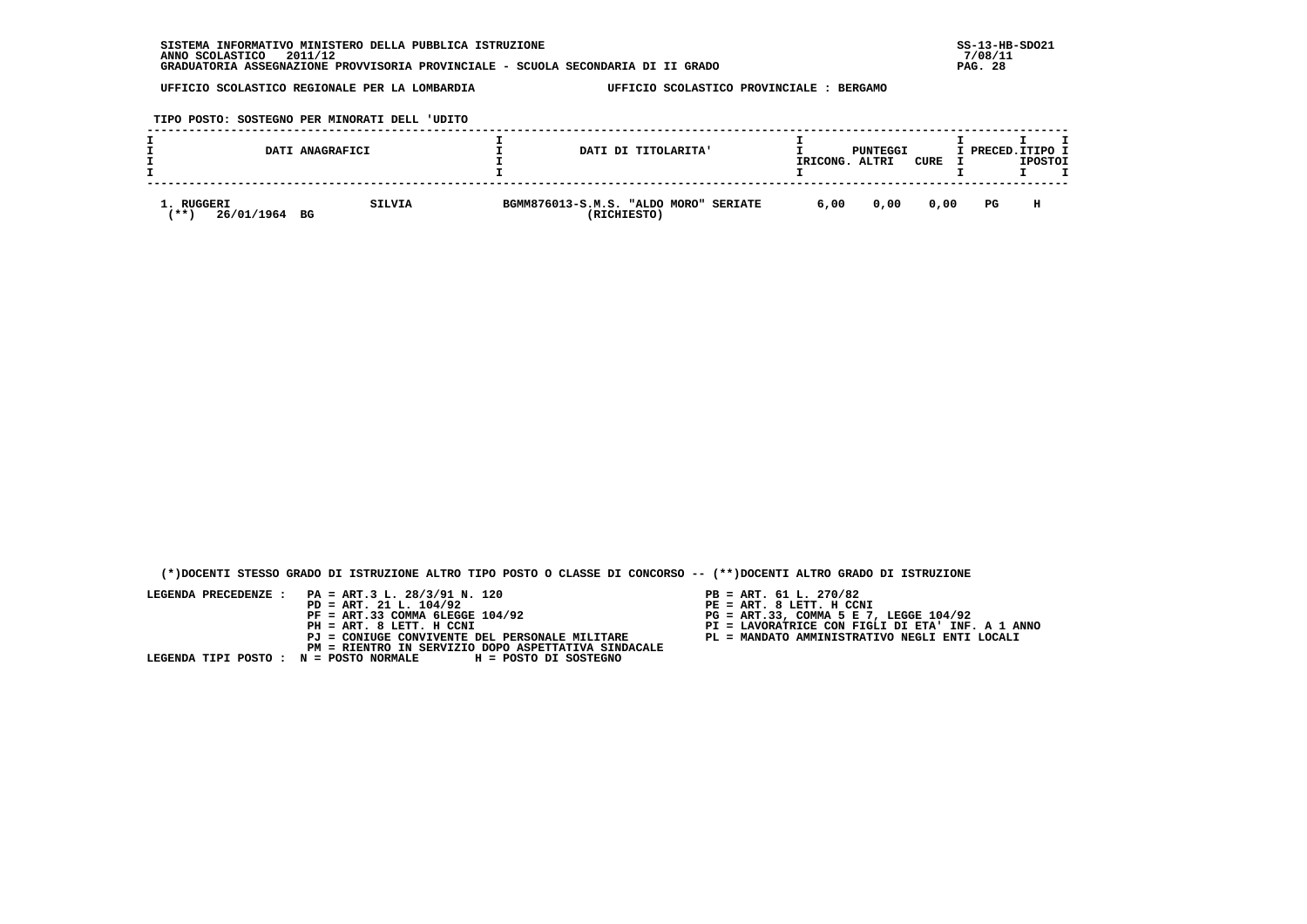**TIPO POSTO: SOSTEGNO PER MINORATI DELL 'UDITO**

|                                          | DATI ANAGRAFICI | DATI DI TITOLARITA'                                            | IRICONG. | PUNTEGGI<br>ALTRI | CURE | I PRECED.ITIPO I | <b>IPOSTOI</b> |  |
|------------------------------------------|-----------------|----------------------------------------------------------------|----------|-------------------|------|------------------|----------------|--|
| 1. RUGGERI<br>26/01/1964 BG<br><b>**</b> | SILVIA          | BGMM876013-S.M.S. "ALDO MORO"<br><b>SERIATE</b><br>(RICHIESTO) | 6,00     | 0,00              | 0.00 | PG               | н              |  |

 **(\*)DOCENTI STESSO GRADO DI ISTRUZIONE ALTRO TIPO POSTO O CLASSE DI CONCORSO -- (\*\*)DOCENTI ALTRO GRADO DI ISTRUZIONE**

- PB = ART. 61 L. 270/82<br>PE = ART. 8 LETT. H CCNI
- 
- 
- 
-